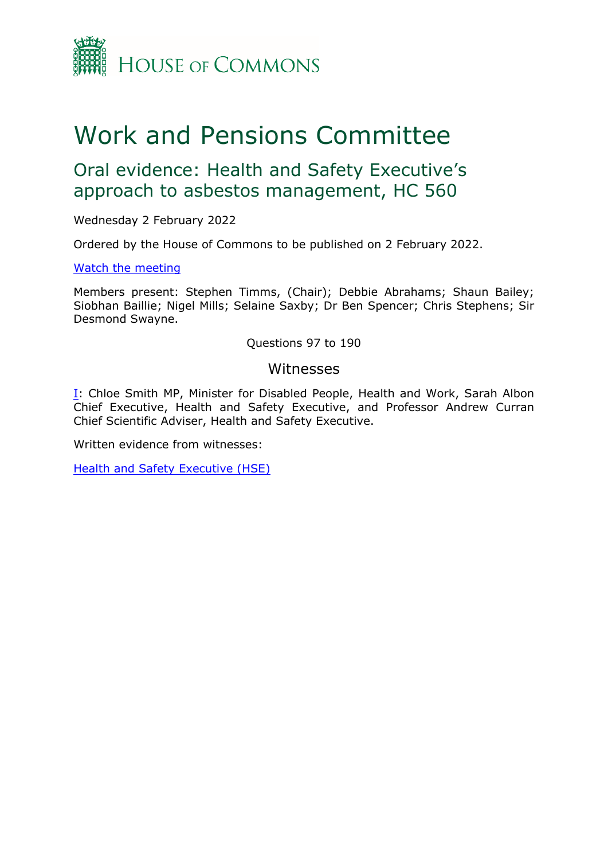

# Work and Pensions Committee

# Oral evidence: Health and Safety Executive's approach to asbestos management, HC 560

Wednesday 2 February 2022

Ordered by the House of Commons to be published on 2 February 2022.

#### [Watch](https://www.parliamentlive.tv/Event/Index/7cb1d7ba-9546-4f5c-9dc5-aed865624771) [the](https://www.parliamentlive.tv/Event/Index/7cb1d7ba-9546-4f5c-9dc5-aed865624771) [meeting](https://www.parliamentlive.tv/Event/Index/7cb1d7ba-9546-4f5c-9dc5-aed865624771)

Members present: Stephen Timms, (Chair); Debbie Abrahams; Shaun Bailey; Siobhan Baillie; Nigel Mills; Selaine Saxby; Dr Ben Spencer; Chris Stephens; Sir Desmond Swayne.

Questions 97 to 190

### Witnesses

[I:](#page-1-0) Chloe Smith MP, Minister for Disabled People, Health and Work, Sarah Albon Chief Executive, Health and Safety Executive, and Professor Andrew Curran Chief Scientific Adviser, Health and Safety Executive.

Written evidence from witnesses:

[Health](https://committees.parliament.uk/writtenevidence/39390/pdf/) [and](https://committees.parliament.uk/writtenevidence/39390/pdf/) [Safety](https://committees.parliament.uk/writtenevidence/39390/pdf/) [Executive](https://committees.parliament.uk/writtenevidence/39390/pdf/) [\(HSE\)](https://committees.parliament.uk/writtenevidence/39390/pdf/)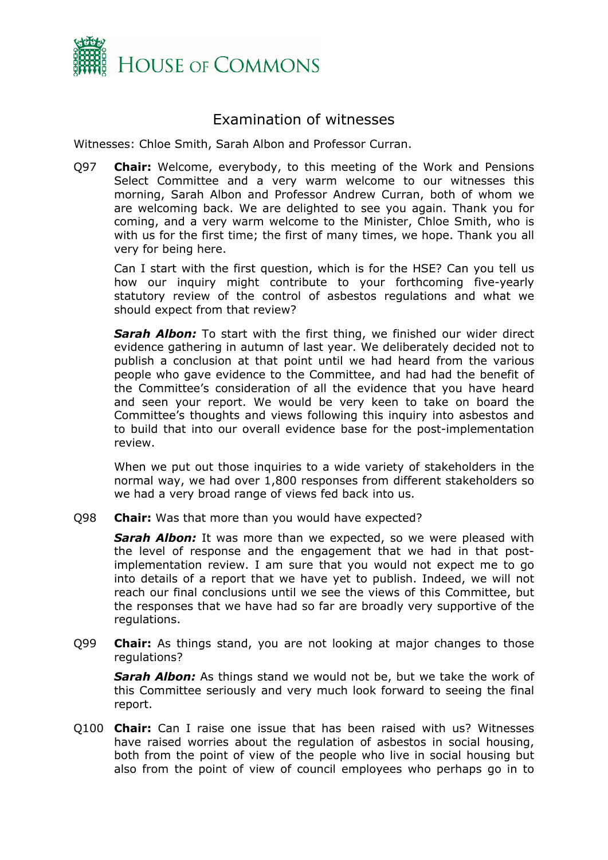

## <span id="page-1-0"></span>Examination of witnesses

Witnesses: Chloe Smith, Sarah Albon and Professor Curran.

Q97 **Chair:** Welcome, everybody, to this meeting of the Work and Pensions Select Committee and a very warm welcome to our witnesses this morning, Sarah Albon and Professor Andrew Curran, both of whom we are welcoming back. We are delighted to see you again. Thank you for coming, and a very warm welcome to the Minister, Chloe Smith, who is with us for the first time; the first of many times, we hope. Thank you all very for being here.

Can I start with the first question, which is for the HSE? Can you tell us how our inquiry might contribute to your forthcoming five-yearly statutory review of the control of asbestos regulations and what we should expect from that review?

*Sarah Albon:* To start with the first thing, we finished our wider direct evidence gathering in autumn of last year. We deliberately decided not to publish a conclusion at that point until we had heard from the various people who gave evidence to the Committee, and had had the benefit of the Committee's consideration of all the evidence that you have heard and seen your report. We would be very keen to take on board the Committee's thoughts and views following this inquiry into asbestos and to build that into our overall evidence base for the post-implementation review.

When we put out those inquiries to a wide variety of stakeholders in the normal way, we had over 1,800 responses from different stakeholders so we had a very broad range of views fed back into us.

Q98 **Chair:** Was that more than you would have expected?

**Sarah Albon:** It was more than we expected, so we were pleased with the level of response and the engagement that we had in that postimplementation review. I am sure that you would not expect me to go into details of a report that we have yet to publish. Indeed, we will not reach our final conclusions until we see the views of this Committee, but the responses that we have had so far are broadly very supportive of the regulations.

Q99 **Chair:** As things stand, you are not looking at major changes to those regulations?

*Sarah Albon:* As things stand we would not be, but we take the work of this Committee seriously and very much look forward to seeing the final report.

Q100 **Chair:** Can I raise one issue that has been raised with us? Witnesses have raised worries about the regulation of asbestos in social housing, both from the point of view of the people who live in social housing but also from the point of view of council employees who perhaps go in to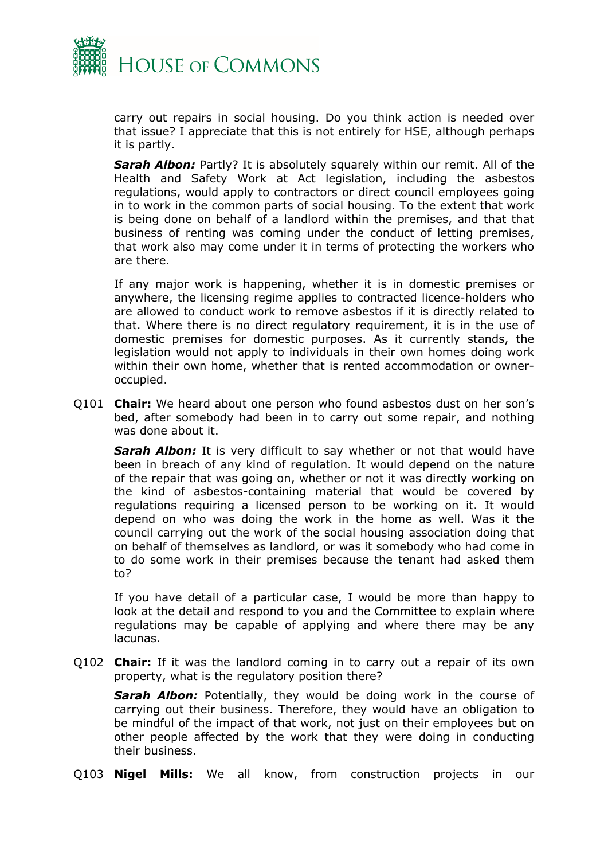

carry out repairs in social housing. Do you think action is needed over that issue? I appreciate that this is not entirely for HSE, although perhaps it is partly.

*Sarah Albon:* Partly? It is absolutely squarely within our remit. All of the Health and Safety Work at Act legislation, including the asbestos regulations, would apply to contractors or direct council employees going in to work in the common parts of social housing. To the extent that work is being done on behalf of a landlord within the premises, and that that business of renting was coming under the conduct of letting premises, that work also may come under it in terms of protecting the workers who are there.

If any major work is happening, whether it is in domestic premises or anywhere, the licensing regime applies to contracted licence-holders who are allowed to conduct work to remove asbestos if it is directly related to that. Where there is no direct regulatory requirement, it is in the use of domestic premises for domestic purposes. As it currently stands, the legislation would not apply to individuals in their own homes doing work within their own home, whether that is rented accommodation or owneroccupied.

Q101 **Chair:** We heard about one person who found asbestos dust on her son's bed, after somebody had been in to carry out some repair, and nothing was done about it.

**Sarah Albon:** It is very difficult to say whether or not that would have been in breach of any kind of regulation. It would depend on the nature of the repair that was going on, whether or not it was directly working on the kind of asbestos-containing material that would be covered by regulations requiring a licensed person to be working on it. It would depend on who was doing the work in the home as well. Was it the council carrying out the work of the social housing association doing that on behalf of themselves as landlord, or was it somebody who had come in to do some work in their premises because the tenant had asked them to?

If you have detail of a particular case, I would be more than happy to look at the detail and respond to you and the Committee to explain where regulations may be capable of applying and where there may be any lacunas.

Q102 **Chair:** If it was the landlord coming in to carry out a repair of its own property, what is the regulatory position there?

*Sarah Albon:* Potentially, they would be doing work in the course of carrying out their business. Therefore, they would have an obligation to be mindful of the impact of that work, not just on their employees but on other people affected by the work that they were doing in conducting their business.

Q103 **Nigel Mills:** We all know, from construction projects in our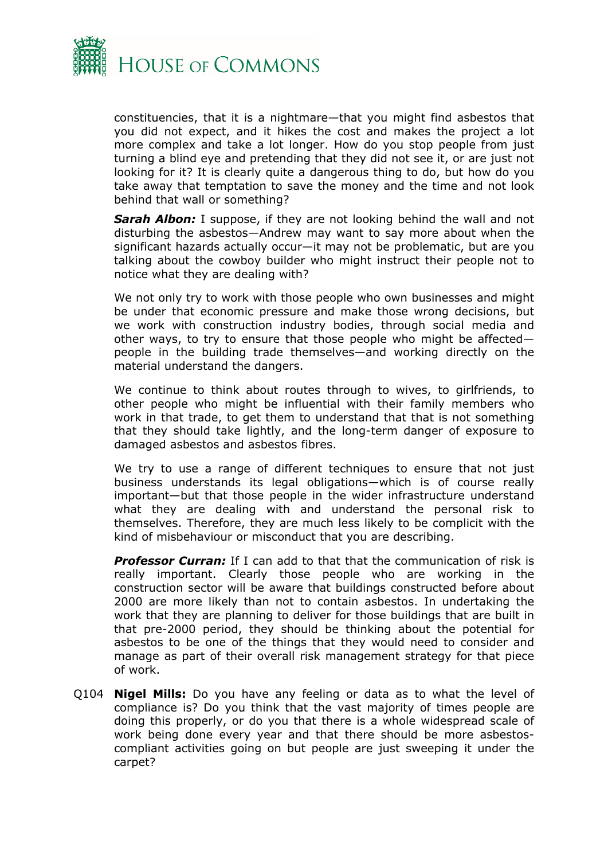

constituencies, that it is a nightmare—that you might find asbestos that you did not expect, and it hikes the cost and makes the project a lot more complex and take a lot longer. How do you stop people from just turning a blind eye and pretending that they did not see it, or are just not looking for it? It is clearly quite a dangerous thing to do, but how do you take away that temptation to save the money and the time and not look behind that wall or something?

*Sarah Albon:* I suppose, if they are not looking behind the wall and not disturbing the asbestos—Andrew may want to say more about when the significant hazards actually occur—it may not be problematic, but are you talking about the cowboy builder who might instruct their people not to notice what they are dealing with?

We not only try to work with those people who own businesses and might be under that economic pressure and make those wrong decisions, but we work with construction industry bodies, through social media and other ways, to try to ensure that those people who might be affected people in the building trade themselves—and working directly on the material understand the dangers.

We continue to think about routes through to wives, to girlfriends, to other people who might be influential with their family members who work in that trade, to get them to understand that that is not something that they should take lightly, and the long-term danger of exposure to damaged asbestos and asbestos fibres.

We try to use a range of different techniques to ensure that not just business understands its legal obligations—which is of course really important—but that those people in the wider infrastructure understand what they are dealing with and understand the personal risk to themselves. Therefore, they are much less likely to be complicit with the kind of misbehaviour or misconduct that you are describing.

**Professor Curran:** If I can add to that that the communication of risk is really important. Clearly those people who are working in the construction sector will be aware that buildings constructed before about 2000 are more likely than not to contain asbestos. In undertaking the work that they are planning to deliver for those buildings that are built in that pre-2000 period, they should be thinking about the potential for asbestos to be one of the things that they would need to consider and manage as part of their overall risk management strategy for that piece of work.

Q104 **Nigel Mills:** Do you have any feeling or data as to what the level of compliance is? Do you think that the vast majority of times people are doing this properly, or do you that there is a whole widespread scale of work being done every year and that there should be more asbestoscompliant activities going on but people are just sweeping it under the carpet?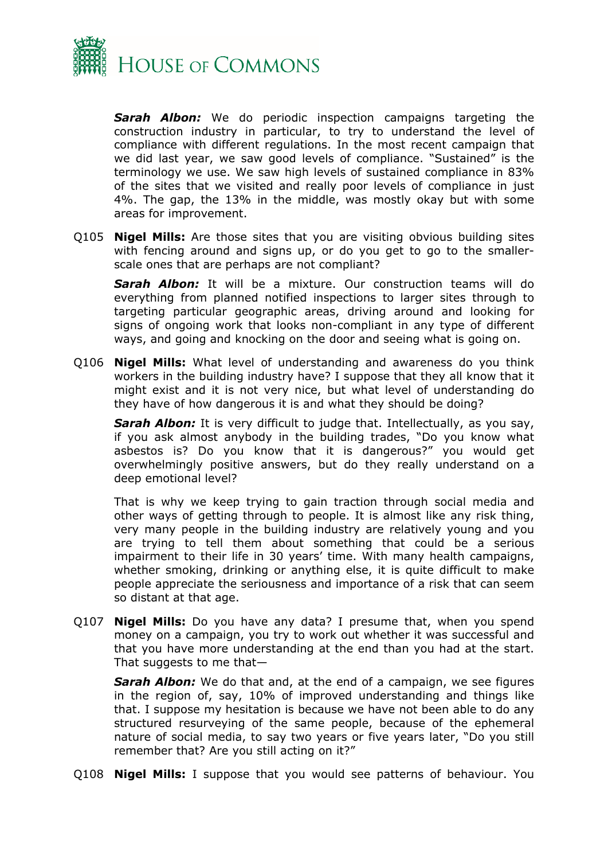

*Sarah Albon:* We do periodic inspection campaigns targeting the construction industry in particular, to try to understand the level of compliance with different regulations. In the most recent campaign that we did last year, we saw good levels of compliance. "Sustained" is the terminology we use. We saw high levels of sustained compliance in 83% of the sites that we visited and really poor levels of compliance in just 4%. The gap, the 13% in the middle, was mostly okay but with some areas for improvement.

Q105 **Nigel Mills:** Are those sites that you are visiting obvious building sites with fencing around and signs up, or do you get to go to the smallerscale ones that are perhaps are not compliant?

*Sarah Albon:* It will be a mixture. Our construction teams will do everything from planned notified inspections to larger sites through to targeting particular geographic areas, driving around and looking for signs of ongoing work that looks non-compliant in any type of different ways, and going and knocking on the door and seeing what is going on.

Q106 **Nigel Mills:** What level of understanding and awareness do you think workers in the building industry have? I suppose that they all know that it might exist and it is not very nice, but what level of understanding do they have of how dangerous it is and what they should be doing?

**Sarah Albon:** It is very difficult to judge that. Intellectually, as you say, if you ask almost anybody in the building trades, "Do you know what asbestos is? Do you know that it is dangerous?" you would get overwhelmingly positive answers, but do they really understand on a deep emotional level?

That is why we keep trying to gain traction through social media and other ways of getting through to people. It is almost like any risk thing, very many people in the building industry are relatively young and you are trying to tell them about something that could be a serious impairment to their life in 30 years' time. With many health campaigns, whether smoking, drinking or anything else, it is quite difficult to make people appreciate the seriousness and importance of a risk that can seem so distant at that age.

Q107 **Nigel Mills:** Do you have any data? I presume that, when you spend money on a campaign, you try to work out whether it was successful and that you have more understanding at the end than you had at the start. That suggests to me that—

*Sarah Albon:* We do that and, at the end of a campaign, we see figures in the region of, say, 10% of improved understanding and things like that. I suppose my hesitation is because we have not been able to do any structured resurveying of the same people, because of the ephemeral nature of social media, to say two years or five years later, "Do you still remember that? Are you still acting on it?"

Q108 **Nigel Mills:** I suppose that you would see patterns of behaviour. You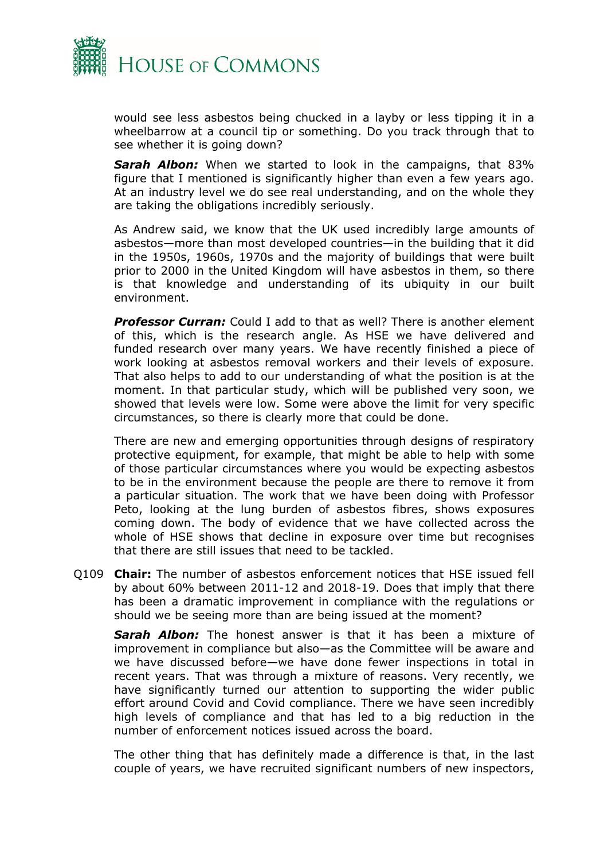

would see less asbestos being chucked in a layby or less tipping it in a wheelbarrow at a council tip or something. Do you track through that to see whether it is going down?

*Sarah Albon:* When we started to look in the campaigns, that 83% figure that I mentioned is significantly higher than even a few years ago. At an industry level we do see real understanding, and on the whole they are taking the obligations incredibly seriously.

As Andrew said, we know that the UK used incredibly large amounts of asbestos—more than most developed countries—in the building that it did in the 1950s, 1960s, 1970s and the majority of buildings that were built prior to 2000 in the United Kingdom will have asbestos in them, so there is that knowledge and understanding of its ubiquity in our built environment.

*Professor Curran:* Could I add to that as well? There is another element of this, which is the research angle. As HSE we have delivered and funded research over many years. We have recently finished a piece of work looking at asbestos removal workers and their levels of exposure. That also helps to add to our understanding of what the position is at the moment. In that particular study, which will be published very soon, we showed that levels were low. Some were above the limit for very specific circumstances, so there is clearly more that could be done.

There are new and emerging opportunities through designs of respiratory protective equipment, for example, that might be able to help with some of those particular circumstances where you would be expecting asbestos to be in the environment because the people are there to remove it from a particular situation. The work that we have been doing with Professor Peto, looking at the lung burden of asbestos fibres, shows exposures coming down. The body of evidence that we have collected across the whole of HSE shows that decline in exposure over time but recognises that there are still issues that need to be tackled.

Q109 **Chair:** The number of asbestos enforcement notices that HSE issued fell by about 60% between 2011-12 and 2018-19. Does that imply that there has been a dramatic improvement in compliance with the regulations or should we be seeing more than are being issued at the moment?

*Sarah Albon:* The honest answer is that it has been a mixture of improvement in compliance but also—as the Committee will be aware and we have discussed before—we have done fewer inspections in total in recent years. That was through a mixture of reasons. Very recently, we have significantly turned our attention to supporting the wider public effort around Covid and Covid compliance. There we have seen incredibly high levels of compliance and that has led to a big reduction in the number of enforcement notices issued across the board.

The other thing that has definitely made a difference is that, in the last couple of years, we have recruited significant numbers of new inspectors,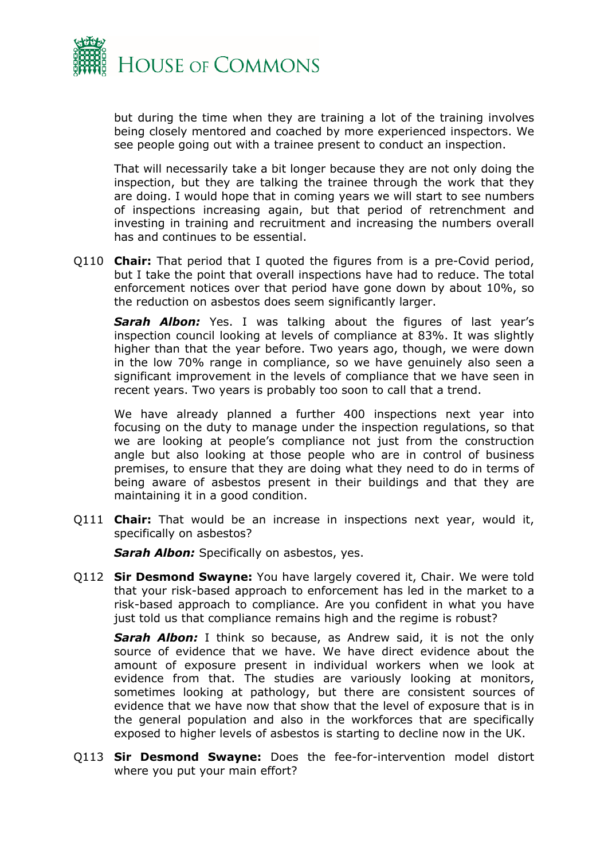

but during the time when they are training a lot of the training involves being closely mentored and coached by more experienced inspectors. We see people going out with a trainee present to conduct an inspection.

That will necessarily take a bit longer because they are not only doing the inspection, but they are talking the trainee through the work that they are doing. I would hope that in coming years we will start to see numbers of inspections increasing again, but that period of retrenchment and investing in training and recruitment and increasing the numbers overall has and continues to be essential.

Q110 **Chair:** That period that I quoted the figures from is a pre-Covid period, but I take the point that overall inspections have had to reduce. The total enforcement notices over that period have gone down by about 10%, so the reduction on asbestos does seem significantly larger.

*Sarah Albon:* Yes. I was talking about the figures of last year's inspection council looking at levels of compliance at 83%. It was slightly higher than that the year before. Two years ago, though, we were down in the low 70% range in compliance, so we have genuinely also seen a significant improvement in the levels of compliance that we have seen in recent years. Two years is probably too soon to call that a trend.

We have already planned a further 400 inspections next year into focusing on the duty to manage under the inspection regulations, so that we are looking at people's compliance not just from the construction angle but also looking at those people who are in control of business premises, to ensure that they are doing what they need to do in terms of being aware of asbestos present in their buildings and that they are maintaining it in a good condition.

Q111 **Chair:** That would be an increase in inspections next year, would it, specifically on asbestos?

*Sarah Albon:* Specifically on asbestos, yes.

Q112 **Sir Desmond Swayne:** You have largely covered it, Chair. We were told that your risk-based approach to enforcement has led in the market to a risk-based approach to compliance. Are you confident in what you have just told us that compliance remains high and the regime is robust?

*Sarah Albon:* I think so because, as Andrew said, it is not the only source of evidence that we have. We have direct evidence about the amount of exposure present in individual workers when we look at evidence from that. The studies are variously looking at monitors, sometimes looking at pathology, but there are consistent sources of evidence that we have now that show that the level of exposure that is in the general population and also in the workforces that are specifically exposed to higher levels of asbestos is starting to decline now in the UK.

Q113 **Sir Desmond Swayne:** Does the fee-for-intervention model distort where you put your main effort?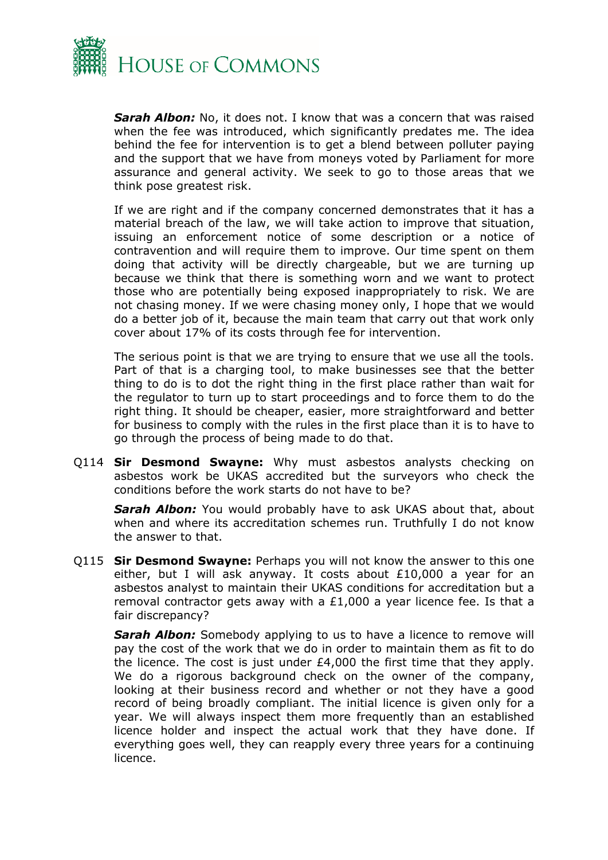

*Sarah Albon:* No, it does not. I know that was a concern that was raised when the fee was introduced, which significantly predates me. The idea behind the fee for intervention is to get a blend between polluter paying and the support that we have from moneys voted by Parliament for more assurance and general activity. We seek to go to those areas that we think pose greatest risk.

If we are right and if the company concerned demonstrates that it has a material breach of the law, we will take action to improve that situation, issuing an enforcement notice of some description or a notice of contravention and will require them to improve. Our time spent on them doing that activity will be directly chargeable, but we are turning up because we think that there is something worn and we want to protect those who are potentially being exposed inappropriately to risk. We are not chasing money. If we were chasing money only, I hope that we would do a better job of it, because the main team that carry out that work only cover about 17% of its costs through fee for intervention.

The serious point is that we are trying to ensure that we use all the tools. Part of that is a charging tool, to make businesses see that the better thing to do is to dot the right thing in the first place rather than wait for the regulator to turn up to start proceedings and to force them to do the right thing. It should be cheaper, easier, more straightforward and better for business to comply with the rules in the first place than it is to have to go through the process of being made to do that.

Q114 **Sir Desmond Swayne:** Why must asbestos analysts checking on asbestos work be UKAS accredited but the surveyors who check the conditions before the work starts do not have to be?

*Sarah Albon:* You would probably have to ask UKAS about that, about when and where its accreditation schemes run. Truthfully I do not know the answer to that.

Q115 **Sir Desmond Swayne:** Perhaps you will not know the answer to this one either, but I will ask anyway. It costs about £10,000 a year for an asbestos analyst to maintain their UKAS conditions for accreditation but a removal contractor gets away with a  $£1,000$  a year licence fee. Is that a fair discrepancy?

**Sarah Albon:** Somebody applying to us to have a licence to remove will pay the cost of the work that we do in order to maintain them as fit to do the licence. The cost is just under £4,000 the first time that they apply. We do a rigorous background check on the owner of the company, looking at their business record and whether or not they have a good record of being broadly compliant. The initial licence is given only for a year. We will always inspect them more frequently than an established licence holder and inspect the actual work that they have done. If everything goes well, they can reapply every three years for a continuing licence.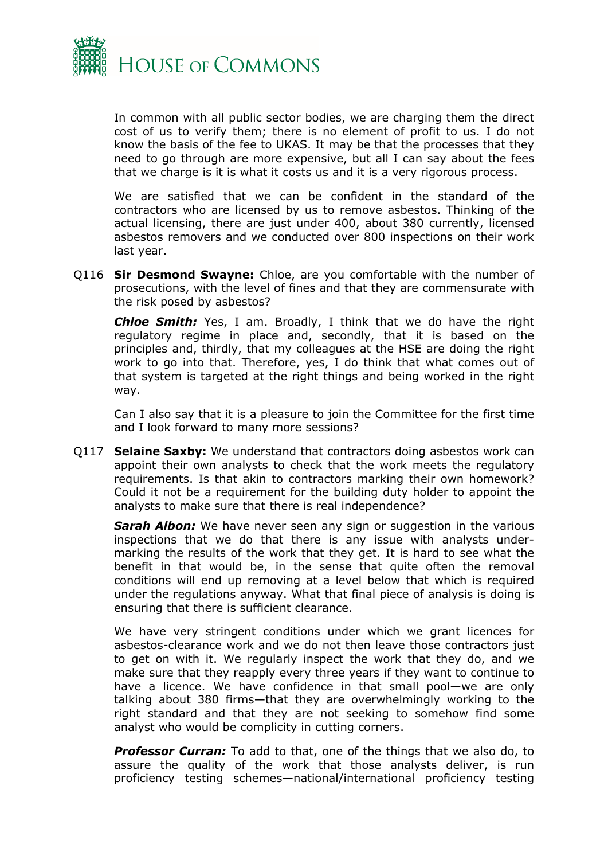

In common with all public sector bodies, we are charging them the direct cost of us to verify them; there is no element of profit to us. I do not know the basis of the fee to UKAS. It may be that the processes that they need to go through are more expensive, but all I can say about the fees that we charge is it is what it costs us and it is a very rigorous process.

We are satisfied that we can be confident in the standard of the contractors who are licensed by us to remove asbestos. Thinking of the actual licensing, there are just under 400, about 380 currently, licensed asbestos removers and we conducted over 800 inspections on their work last year.

Q116 **Sir Desmond Swayne:** Chloe, are you comfortable with the number of prosecutions, with the level of fines and that they are commensurate with the risk posed by asbestos?

*Chloe Smith:* Yes, I am. Broadly, I think that we do have the right regulatory regime in place and, secondly, that it is based on the principles and, thirdly, that my colleagues at the HSE are doing the right work to go into that. Therefore, yes, I do think that what comes out of that system is targeted at the right things and being worked in the right way.

Can I also say that it is a pleasure to join the Committee for the first time and I look forward to many more sessions?

Q117 **Selaine Saxby:** We understand that contractors doing asbestos work can appoint their own analysts to check that the work meets the regulatory requirements. Is that akin to contractors marking their own homework? Could it not be a requirement for the building duty holder to appoint the analysts to make sure that there is real independence?

**Sarah Albon:** We have never seen any sign or suggestion in the various inspections that we do that there is any issue with analysts undermarking the results of the work that they get. It is hard to see what the benefit in that would be, in the sense that quite often the removal conditions will end up removing at a level below that which is required under the regulations anyway. What that final piece of analysis is doing is ensuring that there is sufficient clearance.

We have very stringent conditions under which we grant licences for asbestos-clearance work and we do not then leave those contractors just to get on with it. We regularly inspect the work that they do, and we make sure that they reapply every three years if they want to continue to have a licence. We have confidence in that small pool—we are only talking about 380 firms—that they are overwhelmingly working to the right standard and that they are not seeking to somehow find some analyst who would be complicity in cutting corners.

*Professor Curran:* To add to that, one of the things that we also do, to assure the quality of the work that those analysts deliver, is run proficiency testing schemes—national/international proficiency testing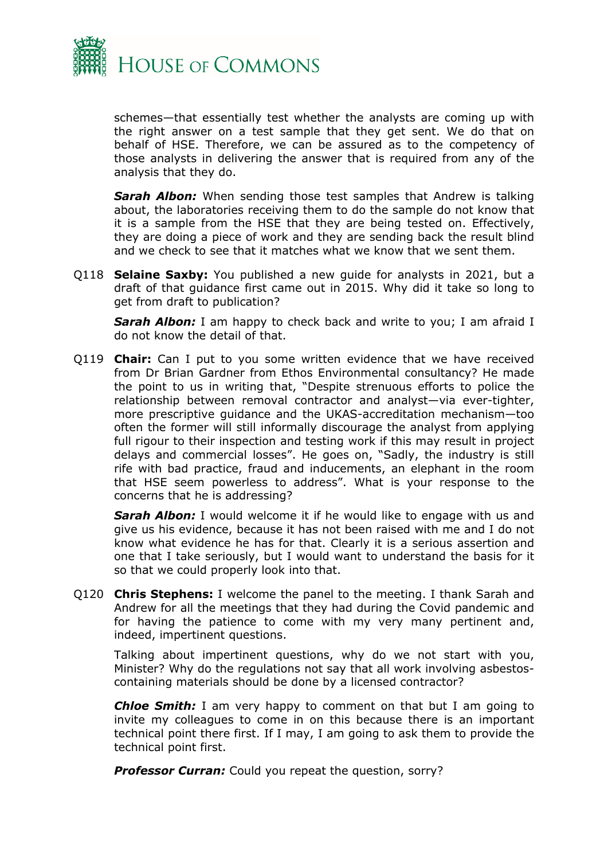

schemes—that essentially test whether the analysts are coming up with the right answer on a test sample that they get sent. We do that on behalf of HSE. Therefore, we can be assured as to the competency of those analysts in delivering the answer that is required from any of the analysis that they do.

*Sarah Albon:* When sending those test samples that Andrew is talking about, the laboratories receiving them to do the sample do not know that it is a sample from the HSE that they are being tested on. Effectively, they are doing a piece of work and they are sending back the result blind and we check to see that it matches what we know that we sent them.

Q118 **Selaine Saxby:** You published a new guide for analysts in 2021, but a draft of that guidance first came out in 2015. Why did it take so long to get from draft to publication?

*Sarah Albon:* I am happy to check back and write to you; I am afraid I do not know the detail of that.

Q119 **Chair:** Can I put to you some written evidence that we have received from Dr Brian Gardner from Ethos Environmental consultancy? He made the point to us in writing that, "Despite strenuous efforts to police the relationship between removal contractor and analyst—via ever-tighter, more prescriptive guidance and the UKAS-accreditation mechanism—too often the former will still informally discourage the analyst from applying full rigour to their inspection and testing work if this may result in project delays and commercial losses". He goes on, "Sadly, the industry is still rife with bad practice, fraud and inducements, an elephant in the room that HSE seem powerless to address". What is your response to the concerns that he is addressing?

*Sarah Albon:* I would welcome it if he would like to engage with us and give us his evidence, because it has not been raised with me and I do not know what evidence he has for that. Clearly it is a serious assertion and one that I take seriously, but I would want to understand the basis for it so that we could properly look into that.

Q120 **Chris Stephens:** I welcome the panel to the meeting. I thank Sarah and Andrew for all the meetings that they had during the Covid pandemic and for having the patience to come with my very many pertinent and, indeed, impertinent questions.

Talking about impertinent questions, why do we not start with you, Minister? Why do the regulations not say that all work involving asbestoscontaining materials should be done by a licensed contractor?

*Chloe Smith:* I am very happy to comment on that but I am going to invite my colleagues to come in on this because there is an important technical point there first. If I may, I am going to ask them to provide the technical point first.

*Professor Curran:* Could you repeat the question, sorry?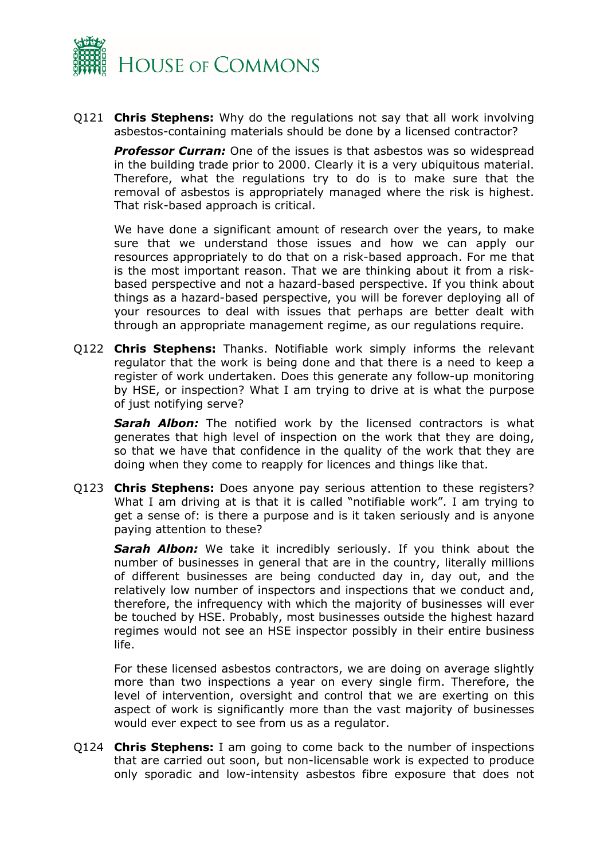

Q121 **Chris Stephens:** Why do the regulations not say that all work involving asbestos-containing materials should be done by a licensed contractor?

**Professor Curran:** One of the issues is that asbestos was so widespread in the building trade prior to 2000. Clearly it is a very ubiquitous material. Therefore, what the regulations try to do is to make sure that the removal of asbestos is appropriately managed where the risk is highest. That risk-based approach is critical.

We have done a significant amount of research over the years, to make sure that we understand those issues and how we can apply our resources appropriately to do that on a risk-based approach. For me that is the most important reason. That we are thinking about it from a riskbased perspective and not a hazard-based perspective. If you think about things as a hazard-based perspective, you will be forever deploying all of your resources to deal with issues that perhaps are better dealt with through an appropriate management regime, as our regulations require.

Q122 **Chris Stephens:** Thanks. Notifiable work simply informs the relevant regulator that the work is being done and that there is a need to keep a register of work undertaken. Does this generate any follow-up monitoring by HSE, or inspection? What I am trying to drive at is what the purpose of just notifying serve?

*Sarah Albon:* The notified work by the licensed contractors is what generates that high level of inspection on the work that they are doing, so that we have that confidence in the quality of the work that they are doing when they come to reapply for licences and things like that.

Q123 **Chris Stephens:** Does anyone pay serious attention to these registers? What I am driving at is that it is called "notifiable work". I am trying to get a sense of: is there a purpose and is it taken seriously and is anyone paying attention to these?

*Sarah Albon:* We take it incredibly seriously. If you think about the number of businesses in general that are in the country, literally millions of different businesses are being conducted day in, day out, and the relatively low number of inspectors and inspections that we conduct and, therefore, the infrequency with which the majority of businesses will ever be touched by HSE. Probably, most businesses outside the highest hazard regimes would not see an HSE inspector possibly in their entire business life.

For these licensed asbestos contractors, we are doing on average slightly more than two inspections a year on every single firm. Therefore, the level of intervention, oversight and control that we are exerting on this aspect of work is significantly more than the vast majority of businesses would ever expect to see from us as a regulator.

Q124 **Chris Stephens:** I am going to come back to the number of inspections that are carried out soon, but non-licensable work is expected to produce only sporadic and low-intensity asbestos fibre exposure that does not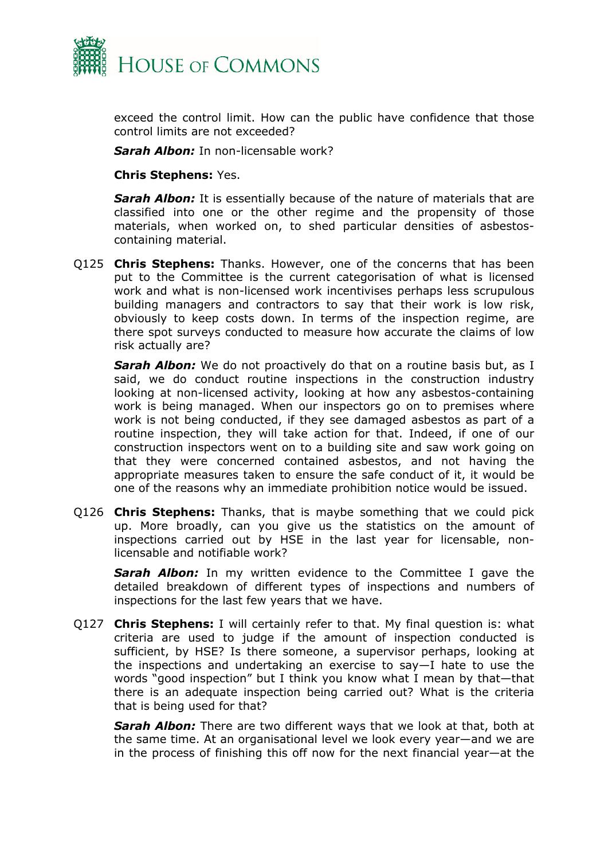

exceed the control limit. How can the public have confidence that those control limits are not exceeded?

*Sarah Albon:* In non-licensable work?

#### **Chris Stephens:** Yes.

*Sarah Albon:* It is essentially because of the nature of materials that are classified into one or the other regime and the propensity of those materials, when worked on, to shed particular densities of asbestoscontaining material.

Q125 **Chris Stephens:** Thanks. However, one of the concerns that has been put to the Committee is the current categorisation of what is licensed work and what is non-licensed work incentivises perhaps less scrupulous building managers and contractors to say that their work is low risk, obviously to keep costs down. In terms of the inspection regime, are there spot surveys conducted to measure how accurate the claims of low risk actually are?

*Sarah Albon:* We do not proactively do that on a routine basis but, as I said, we do conduct routine inspections in the construction industry looking at non-licensed activity, looking at how any asbestos-containing work is being managed. When our inspectors go on to premises where work is not being conducted, if they see damaged asbestos as part of a routine inspection, they will take action for that. Indeed, if one of our construction inspectors went on to a building site and saw work going on that they were concerned contained asbestos, and not having the appropriate measures taken to ensure the safe conduct of it, it would be one of the reasons why an immediate prohibition notice would be issued.

Q126 **Chris Stephens:** Thanks, that is maybe something that we could pick up. More broadly, can you give us the statistics on the amount of inspections carried out by HSE in the last year for licensable, nonlicensable and notifiable work?

**Sarah Albon:** In my written evidence to the Committee I gave the detailed breakdown of different types of inspections and numbers of inspections for the last few years that we have.

Q127 **Chris Stephens:** I will certainly refer to that. My final question is: what criteria are used to judge if the amount of inspection conducted is sufficient, by HSE? Is there someone, a supervisor perhaps, looking at the inspections and undertaking an exercise to say—I hate to use the words "good inspection" but I think you know what I mean by that—that there is an adequate inspection being carried out? What is the criteria that is being used for that?

*Sarah Albon:* There are two different ways that we look at that, both at the same time. At an organisational level we look every year—and we are in the process of finishing this off now for the next financial year—at the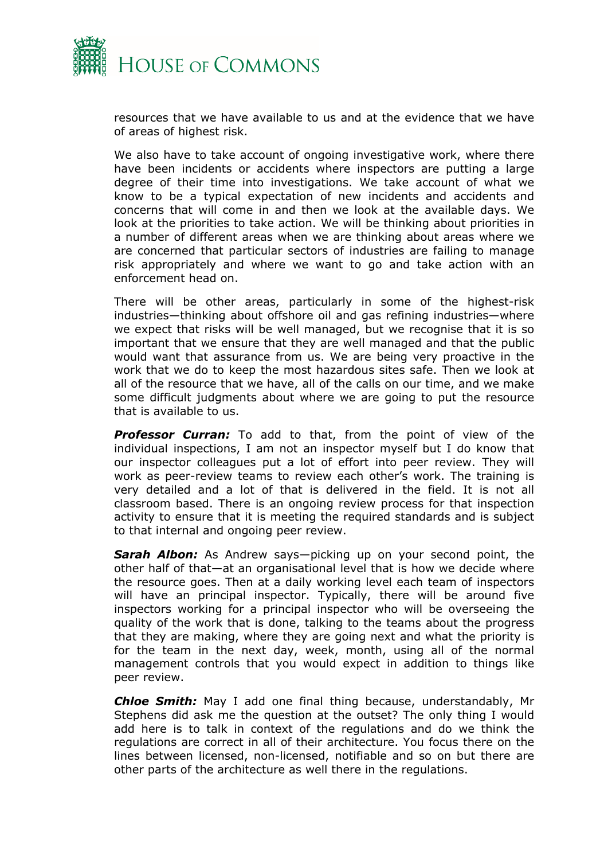

resources that we have available to us and at the evidence that we have of areas of highest risk.

We also have to take account of ongoing investigative work, where there have been incidents or accidents where inspectors are putting a large degree of their time into investigations. We take account of what we know to be a typical expectation of new incidents and accidents and concerns that will come in and then we look at the available days. We look at the priorities to take action. We will be thinking about priorities in a number of different areas when we are thinking about areas where we are concerned that particular sectors of industries are failing to manage risk appropriately and where we want to go and take action with an enforcement head on.

There will be other areas, particularly in some of the highest-risk industries—thinking about offshore oil and gas refining industries—where we expect that risks will be well managed, but we recognise that it is so important that we ensure that they are well managed and that the public would want that assurance from us. We are being very proactive in the work that we do to keep the most hazardous sites safe. Then we look at all of the resource that we have, all of the calls on our time, and we make some difficult judgments about where we are going to put the resource that is available to us.

*Professor Curran:* To add to that, from the point of view of the individual inspections, I am not an inspector myself but I do know that our inspector colleagues put a lot of effort into peer review. They will work as peer-review teams to review each other's work. The training is very detailed and a lot of that is delivered in the field. It is not all classroom based. There is an ongoing review process for that inspection activity to ensure that it is meeting the required standards and is subject to that internal and ongoing peer review.

*Sarah Albon:* As Andrew says—picking up on your second point, the other half of that—at an organisational level that is how we decide where the resource goes. Then at a daily working level each team of inspectors will have an principal inspector. Typically, there will be around five inspectors working for a principal inspector who will be overseeing the quality of the work that is done, talking to the teams about the progress that they are making, where they are going next and what the priority is for the team in the next day, week, month, using all of the normal management controls that you would expect in addition to things like peer review.

*Chloe Smith:* May I add one final thing because, understandably, Mr Stephens did ask me the question at the outset? The only thing I would add here is to talk in context of the regulations and do we think the regulations are correct in all of their architecture. You focus there on the lines between licensed, non-licensed, notifiable and so on but there are other parts of the architecture as well there in the regulations.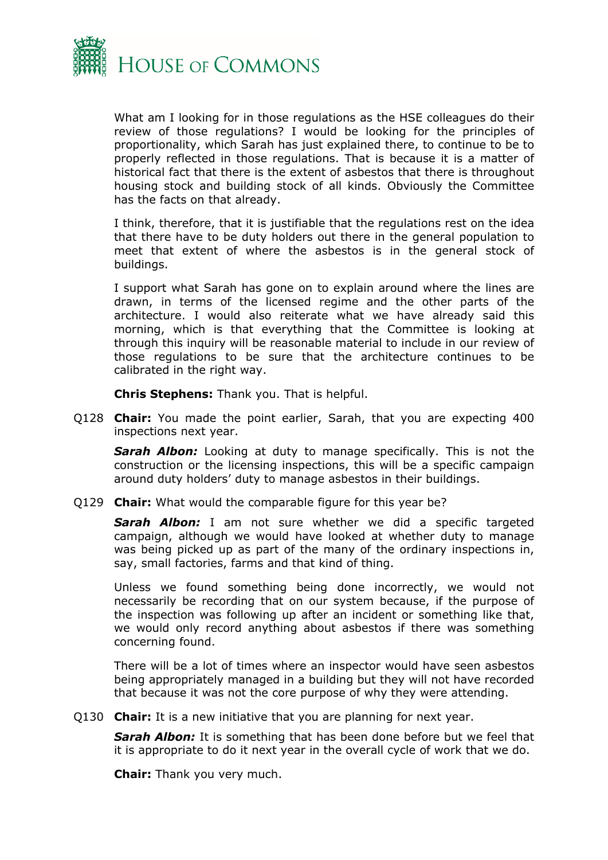

What am I looking for in those regulations as the HSE colleagues do their review of those regulations? I would be looking for the principles of proportionality, which Sarah has just explained there, to continue to be to properly reflected in those regulations. That is because it is a matter of historical fact that there is the extent of asbestos that there is throughout housing stock and building stock of all kinds. Obviously the Committee has the facts on that already.

I think, therefore, that it is justifiable that the regulations rest on the idea that there have to be duty holders out there in the general population to meet that extent of where the asbestos is in the general stock of buildings.

I support what Sarah has gone on to explain around where the lines are drawn, in terms of the licensed regime and the other parts of the architecture. I would also reiterate what we have already said this morning, which is that everything that the Committee is looking at through this inquiry will be reasonable material to include in our review of those regulations to be sure that the architecture continues to be calibrated in the right way.

**Chris Stephens:** Thank you. That is helpful.

Q128 **Chair:** You made the point earlier, Sarah, that you are expecting 400 inspections next year.

*Sarah Albon:* Looking at duty to manage specifically. This is not the construction or the licensing inspections, this will be a specific campaign around duty holders' duty to manage asbestos in their buildings.

Q129 **Chair:** What would the comparable figure for this year be?

*Sarah Albon:* I am not sure whether we did a specific targeted campaign, although we would have looked at whether duty to manage was being picked up as part of the many of the ordinary inspections in, say, small factories, farms and that kind of thing.

Unless we found something being done incorrectly, we would not necessarily be recording that on our system because, if the purpose of the inspection was following up after an incident or something like that, we would only record anything about asbestos if there was something concerning found.

There will be a lot of times where an inspector would have seen asbestos being appropriately managed in a building but they will not have recorded that because it was not the core purpose of why they were attending.

Q130 **Chair:** It is a new initiative that you are planning for next year.

*Sarah Albon:* It is something that has been done before but we feel that it is appropriate to do it next year in the overall cycle of work that we do.

**Chair:** Thank you very much.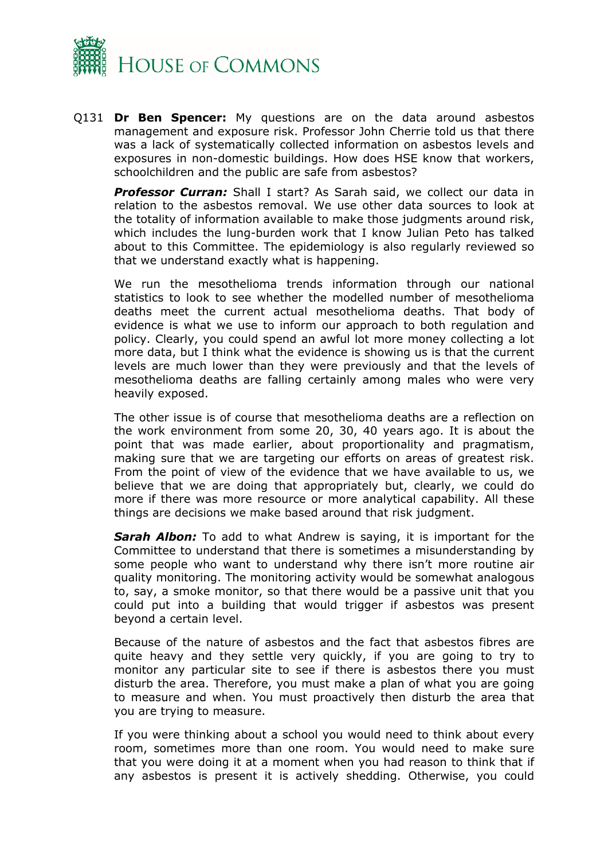

Q131 **Dr Ben Spencer:** My questions are on the data around asbestos management and exposure risk. Professor John Cherrie told us that there was a lack of systematically collected information on asbestos levels and exposures in non-domestic buildings. How does HSE know that workers, schoolchildren and the public are safe from asbestos?

*Professor Curran:* Shall I start? As Sarah said, we collect our data in relation to the asbestos removal. We use other data sources to look at the totality of information available to make those judgments around risk, which includes the lung-burden work that I know Julian Peto has talked about to this Committee. The epidemiology is also regularly reviewed so that we understand exactly what is happening.

We run the mesothelioma trends information through our national statistics to look to see whether the modelled number of mesothelioma deaths meet the current actual mesothelioma deaths. That body of evidence is what we use to inform our approach to both regulation and policy. Clearly, you could spend an awful lot more money collecting a lot more data, but I think what the evidence is showing us is that the current levels are much lower than they were previously and that the levels of mesothelioma deaths are falling certainly among males who were very heavily exposed.

The other issue is of course that mesothelioma deaths are a reflection on the work environment from some 20, 30, 40 years ago. It is about the point that was made earlier, about proportionality and pragmatism, making sure that we are targeting our efforts on areas of greatest risk. From the point of view of the evidence that we have available to us, we believe that we are doing that appropriately but, clearly, we could do more if there was more resource or more analytical capability. All these things are decisions we make based around that risk judgment.

*Sarah Albon:* To add to what Andrew is saying, it is important for the Committee to understand that there is sometimes a misunderstanding by some people who want to understand why there isn't more routine air quality monitoring. The monitoring activity would be somewhat analogous to, say, a smoke monitor, so that there would be a passive unit that you could put into a building that would trigger if asbestos was present beyond a certain level.

Because of the nature of asbestos and the fact that asbestos fibres are quite heavy and they settle very quickly, if you are going to try to monitor any particular site to see if there is asbestos there you must disturb the area. Therefore, you must make a plan of what you are going to measure and when. You must proactively then disturb the area that you are trying to measure.

If you were thinking about a school you would need to think about every room, sometimes more than one room. You would need to make sure that you were doing it at a moment when you had reason to think that if any asbestos is present it is actively shedding. Otherwise, you could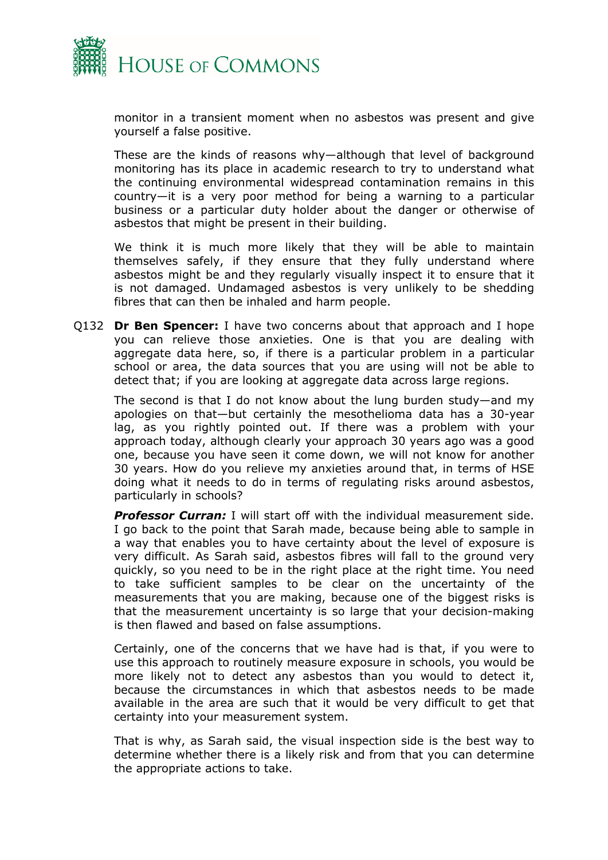

monitor in a transient moment when no asbestos was present and give yourself a false positive.

These are the kinds of reasons why—although that level of background monitoring has its place in academic research to try to understand what the continuing environmental widespread contamination remains in this country—it is a very poor method for being a warning to a particular business or a particular duty holder about the danger or otherwise of asbestos that might be present in their building.

We think it is much more likely that they will be able to maintain themselves safely, if they ensure that they fully understand where asbestos might be and they regularly visually inspect it to ensure that it is not damaged. Undamaged asbestos is very unlikely to be shedding fibres that can then be inhaled and harm people.

Q132 **Dr Ben Spencer:** I have two concerns about that approach and I hope you can relieve those anxieties. One is that you are dealing with aggregate data here, so, if there is a particular problem in a particular school or area, the data sources that you are using will not be able to detect that; if you are looking at aggregate data across large regions.

The second is that I do not know about the lung burden study—and my apologies on that—but certainly the mesothelioma data has a 30-year lag, as you rightly pointed out. If there was a problem with your approach today, although clearly your approach 30 years ago was a good one, because you have seen it come down, we will not know for another 30 years. How do you relieve my anxieties around that, in terms of HSE doing what it needs to do in terms of regulating risks around asbestos, particularly in schools?

*Professor Curran:* I will start off with the individual measurement side. I go back to the point that Sarah made, because being able to sample in a way that enables you to have certainty about the level of exposure is very difficult. As Sarah said, asbestos fibres will fall to the ground very quickly, so you need to be in the right place at the right time. You need to take sufficient samples to be clear on the uncertainty of the measurements that you are making, because one of the biggest risks is that the measurement uncertainty is so large that your decision-making is then flawed and based on false assumptions.

Certainly, one of the concerns that we have had is that, if you were to use this approach to routinely measure exposure in schools, you would be more likely not to detect any asbestos than you would to detect it, because the circumstances in which that asbestos needs to be made available in the area are such that it would be very difficult to get that certainty into your measurement system.

That is why, as Sarah said, the visual inspection side is the best way to determine whether there is a likely risk and from that you can determine the appropriate actions to take.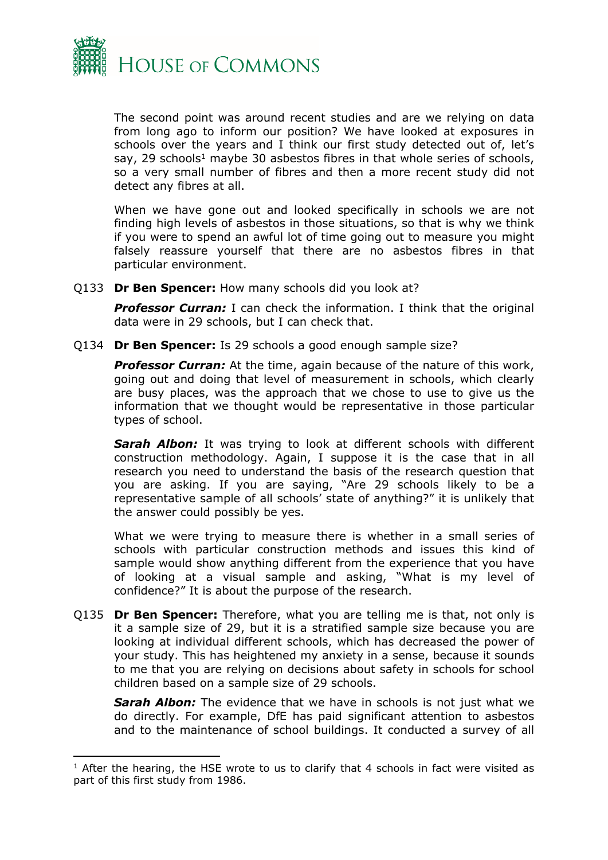

The second point was around recent studies and are we relying on data from long ago to inform our position? We have looked at exposures in schools over the years and I think our first study detected out of, let's say, 29 schools<sup>1</sup> maybe 30 asbestos fibres in that whole series of schools, so a very small number of fibres and then a more recent study did not detect any fibres at all.

When we have gone out and looked specifically in schools we are not finding high levels of asbestos in those situations, so that is why we think if you were to spend an awful lot of time going out to measure you might falsely reassure yourself that there are no asbestos fibres in that particular environment.

Q133 **Dr Ben Spencer:** How many schools did you look at?

**Professor Curran:** I can check the information. I think that the original data were in 29 schools, but I can check that.

Q134 **Dr Ben Spencer:** Is 29 schools a good enough sample size?

**Professor Curran:** At the time, again because of the nature of this work, going out and doing that level of measurement in schools, which clearly are busy places, was the approach that we chose to use to give us the information that we thought would be representative in those particular types of school.

*Sarah Albon:* It was trying to look at different schools with different construction methodology. Again, I suppose it is the case that in all research you need to understand the basis of the research question that you are asking. If you are saying, "Are 29 schools likely to be a representative sample of all schools' state of anything?" it is unlikely that the answer could possibly be yes.

What we were trying to measure there is whether in a small series of schools with particular construction methods and issues this kind of sample would show anything different from the experience that you have of looking at a visual sample and asking, "What is my level of confidence?" It is about the purpose of the research.

Q135 **Dr Ben Spencer:** Therefore, what you are telling me is that, not only is it a sample size of 29, but it is a stratified sample size because you are looking at individual different schools, which has decreased the power of your study. This has heightened my anxiety in a sense, because it sounds to me that you are relying on decisions about safety in schools for school children based on a sample size of 29 schools.

*Sarah Albon:* The evidence that we have in schools is not just what we do directly. For example, DfE has paid significant attention to asbestos and to the maintenance of school buildings. It conducted a survey of all

 $1$  After the hearing, the HSE wrote to us to clarify that 4 schools in fact were visited as part of this first study from 1986.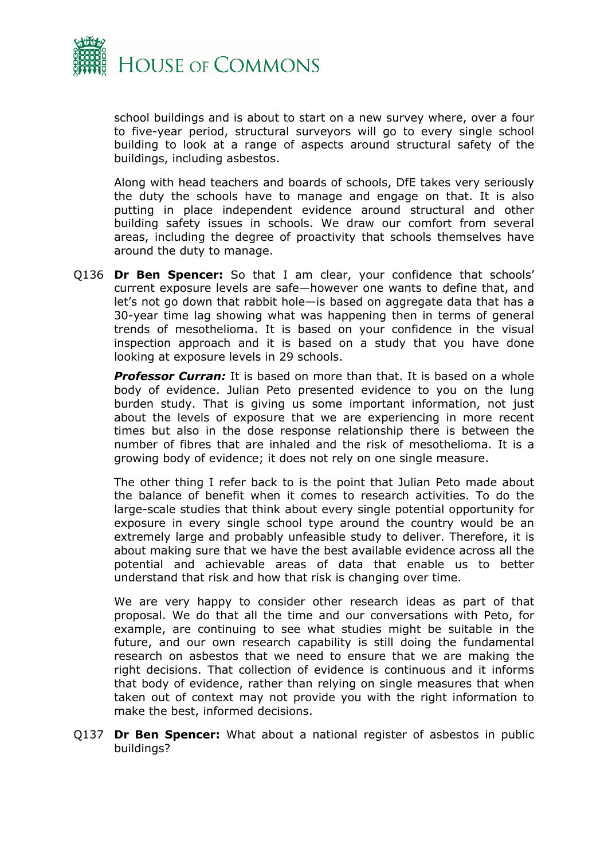

school buildings and is about to start on a new survey where, over a four to five-year period, structural surveyors will go to every single school building to look at a range of aspects around structural safety of the buildings, including asbestos.

Along with head teachers and boards of schools, DfE takes very seriously the duty the schools have to manage and engage on that. It is also putting in place independent evidence around structural and other building safety issues in schools. We draw our comfort from several areas, including the degree of proactivity that schools themselves have around the duty to manage.

Q136 **Dr Ben Spencer:** So that I am clear, your confidence that schools' current exposure levels are safe—however one wants to define that, and let's not go down that rabbit hole—is based on aggregate data that has a 30-year time lag showing what was happening then in terms of general trends of mesothelioma. It is based on your confidence in the visual inspection approach and it is based on a study that you have done looking at exposure levels in 29 schools.

*Professor Curran:* It is based on more than that. It is based on a whole body of evidence. Julian Peto presented evidence to you on the lung burden study. That is giving us some important information, not just about the levels of exposure that we are experiencing in more recent times but also in the dose response relationship there is between the number of fibres that are inhaled and the risk of mesothelioma. It is a growing body of evidence; it does not rely on one single measure.

The other thing I refer back to is the point that Julian Peto made about the balance of benefit when it comes to research activities. To do the large-scale studies that think about every single potential opportunity for exposure in every single school type around the country would be an extremely large and probably unfeasible study to deliver. Therefore, it is about making sure that we have the best available evidence across all the potential and achievable areas of data that enable us to better understand that risk and how that risk is changing over time.

We are very happy to consider other research ideas as part of that proposal. We do that all the time and our conversations with Peto, for example, are continuing to see what studies might be suitable in the future, and our own research capability is still doing the fundamental research on asbestos that we need to ensure that we are making the right decisions. That collection of evidence is continuous and it informs that body of evidence, rather than relying on single measures that when taken out of context may not provide you with the right information to make the best, informed decisions.

Q137 **Dr Ben Spencer:** What about a national register of asbestos in public buildings?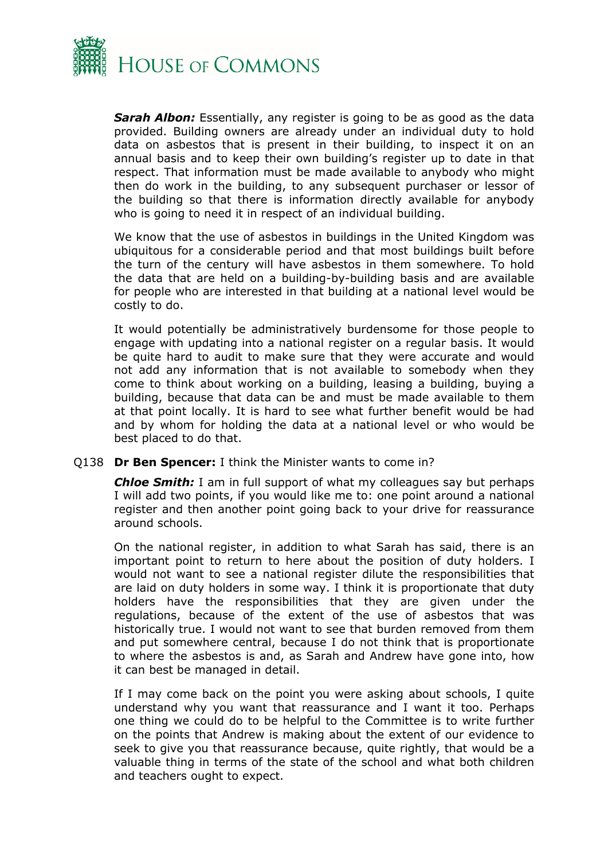

*Sarah Albon:* Essentially, any register is going to be as good as the data provided. Building owners are already under an individual duty to hold data on asbestos that is present in their building, to inspect it on an annual basis and to keep their own building's register up to date in that respect. That information must be made available to anybody who might then do work in the building, to any subsequent purchaser or lessor of the building so that there is information directly available for anybody who is going to need it in respect of an individual building.

We know that the use of asbestos in buildings in the United Kingdom was ubiquitous for a considerable period and that most buildings built before the turn of the century will have asbestos in them somewhere. To hold the data that are held on a building-by-building basis and are available for people who are interested in that building at a national level would be costly to do.

It would potentially be administratively burdensome for those people to engage with updating into a national register on a regular basis. It would be quite hard to audit to make sure that they were accurate and would not add any information that is not available to somebody when they come to think about working on a building, leasing a building, buying a building, because that data can be and must be made available to them at that point locally. It is hard to see what further benefit would be had and by whom for holding the data at a national level or who would be best placed to do that.

#### Q138 **Dr Ben Spencer:** I think the Minister wants to come in?

*Chloe Smith:* I am in full support of what my colleagues say but perhaps I will add two points, if you would like me to: one point around a national register and then another point going back to your drive for reassurance around schools.

On the national register, in addition to what Sarah has said, there is an important point to return to here about the position of duty holders. I would not want to see a national register dilute the responsibilities that are laid on duty holders in some way. I think it is proportionate that duty holders have the responsibilities that they are given under the regulations, because of the extent of the use of asbestos that was historically true. I would not want to see that burden removed from them and put somewhere central, because I do not think that is proportionate to where the asbestos is and, as Sarah and Andrew have gone into, how it can best be managed in detail.

If I may come back on the point you were asking about schools, I quite understand why you want that reassurance and I want it too. Perhaps one thing we could do to be helpful to the Committee is to write further on the points that Andrew is making about the extent of our evidence to seek to give you that reassurance because, quite rightly, that would be a valuable thing in terms of the state of the school and what both children and teachers ought to expect.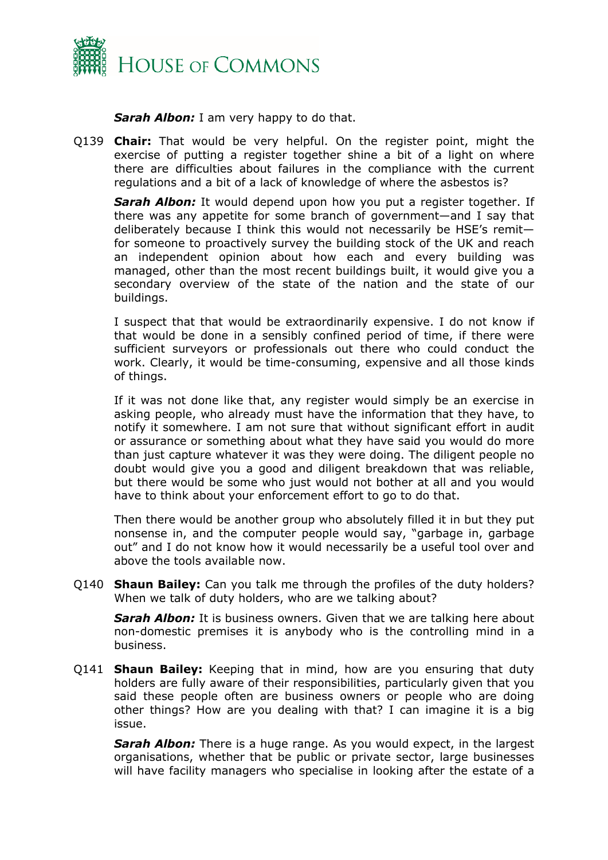

*Sarah Albon:* I am very happy to do that.

Q139 **Chair:** That would be very helpful. On the register point, might the exercise of putting a register together shine a bit of a light on where there are difficulties about failures in the compliance with the current regulations and a bit of a lack of knowledge of where the asbestos is?

*Sarah Albon:* It would depend upon how you put a register together. If there was any appetite for some branch of government—and I say that deliberately because I think this would not necessarily be HSE's remit for someone to proactively survey the building stock of the UK and reach an independent opinion about how each and every building was managed, other than the most recent buildings built, it would give you a secondary overview of the state of the nation and the state of our buildings.

I suspect that that would be extraordinarily expensive. I do not know if that would be done in a sensibly confined period of time, if there were sufficient surveyors or professionals out there who could conduct the work. Clearly, it would be time-consuming, expensive and all those kinds of things.

If it was not done like that, any register would simply be an exercise in asking people, who already must have the information that they have, to notify it somewhere. I am not sure that without significant effort in audit or assurance or something about what they have said you would do more than just capture whatever it was they were doing. The diligent people no doubt would give you a good and diligent breakdown that was reliable, but there would be some who just would not bother at all and you would have to think about your enforcement effort to go to do that.

Then there would be another group who absolutely filled it in but they put nonsense in, and the computer people would say, "garbage in, garbage out" and I do not know how it would necessarily be a useful tool over and above the tools available now.

Q140 **Shaun Bailey:** Can you talk me through the profiles of the duty holders? When we talk of duty holders, who are we talking about?

**Sarah Albon:** It is business owners. Given that we are talking here about non-domestic premises it is anybody who is the controlling mind in a business.

Q141 **Shaun Bailey:** Keeping that in mind, how are you ensuring that duty holders are fully aware of their responsibilities, particularly given that you said these people often are business owners or people who are doing other things? How are you dealing with that? I can imagine it is a big issue.

*Sarah Albon:* There is a huge range. As you would expect, in the largest organisations, whether that be public or private sector, large businesses will have facility managers who specialise in looking after the estate of a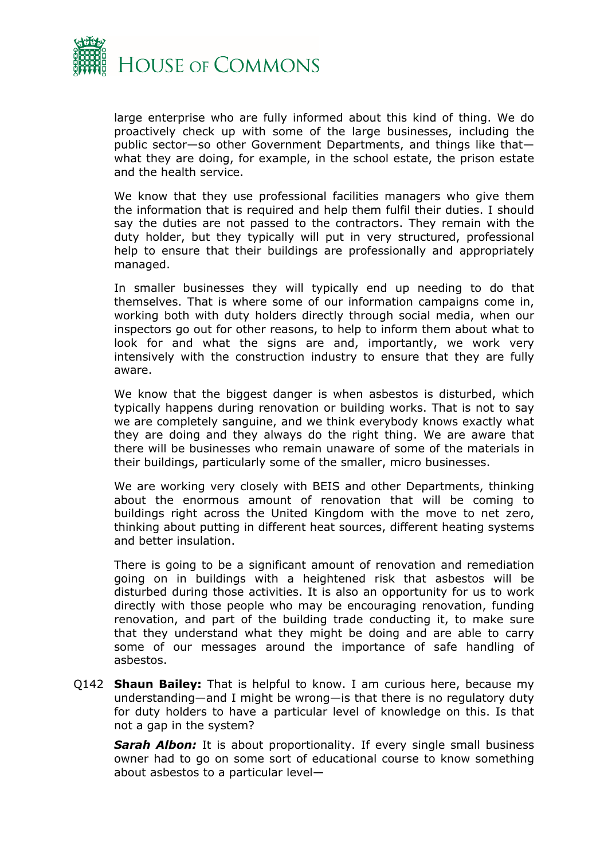

large enterprise who are fully informed about this kind of thing. We do proactively check up with some of the large businesses, including the public sector—so other Government Departments, and things like that what they are doing, for example, in the school estate, the prison estate and the health service.

We know that they use professional facilities managers who give them the information that is required and help them fulfil their duties. I should say the duties are not passed to the contractors. They remain with the duty holder, but they typically will put in very structured, professional help to ensure that their buildings are professionally and appropriately managed.

In smaller businesses they will typically end up needing to do that themselves. That is where some of our information campaigns come in, working both with duty holders directly through social media, when our inspectors go out for other reasons, to help to inform them about what to look for and what the signs are and, importantly, we work very intensively with the construction industry to ensure that they are fully aware.

We know that the biggest danger is when asbestos is disturbed, which typically happens during renovation or building works. That is not to say we are completely sanguine, and we think everybody knows exactly what they are doing and they always do the right thing. We are aware that there will be businesses who remain unaware of some of the materials in their buildings, particularly some of the smaller, micro businesses.

We are working very closely with BEIS and other Departments, thinking about the enormous amount of renovation that will be coming to buildings right across the United Kingdom with the move to net zero, thinking about putting in different heat sources, different heating systems and better insulation.

There is going to be a significant amount of renovation and remediation going on in buildings with a heightened risk that asbestos will be disturbed during those activities. It is also an opportunity for us to work directly with those people who may be encouraging renovation, funding renovation, and part of the building trade conducting it, to make sure that they understand what they might be doing and are able to carry some of our messages around the importance of safe handling of asbestos.

Q142 **Shaun Bailey:** That is helpful to know. I am curious here, because my understanding—and I might be wrong—is that there is no regulatory duty for duty holders to have a particular level of knowledge on this. Is that not a gap in the system?

*Sarah Albon:* It is about proportionality. If every single small business owner had to go on some sort of educational course to know something about asbestos to a particular level—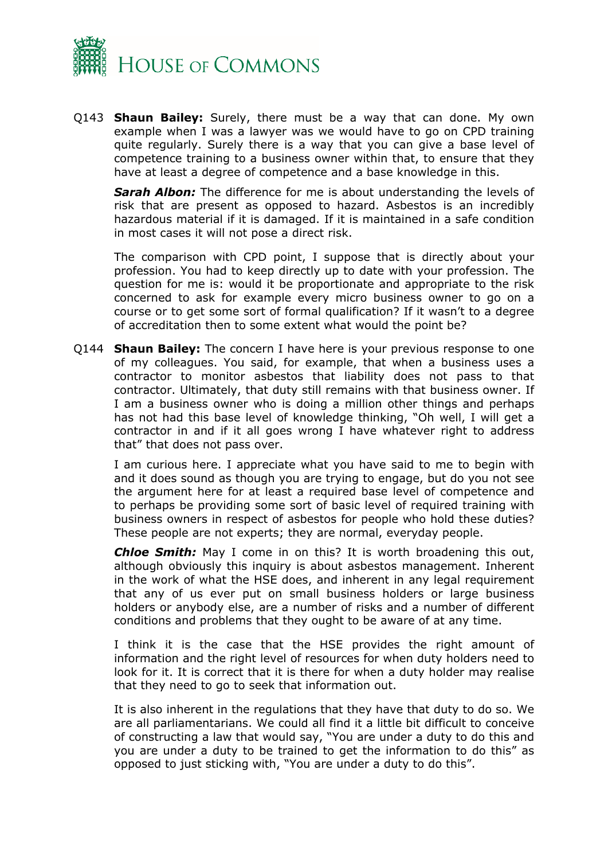

Q143 **Shaun Bailey:** Surely, there must be a way that can done. My own example when I was a lawyer was we would have to go on CPD training quite regularly. Surely there is a way that you can give a base level of competence training to a business owner within that, to ensure that they have at least a degree of competence and a base knowledge in this.

**Sarah Albon:** The difference for me is about understanding the levels of risk that are present as opposed to hazard. Asbestos is an incredibly hazardous material if it is damaged. If it is maintained in a safe condition in most cases it will not pose a direct risk.

The comparison with CPD point, I suppose that is directly about your profession. You had to keep directly up to date with your profession. The question for me is: would it be proportionate and appropriate to the risk concerned to ask for example every micro business owner to go on a course or to get some sort of formal qualification? If it wasn't to a degree of accreditation then to some extent what would the point be?

Q144 **Shaun Bailey:** The concern I have here is your previous response to one of my colleagues. You said, for example, that when a business uses a contractor to monitor asbestos that liability does not pass to that contractor. Ultimately, that duty still remains with that business owner. If I am a business owner who is doing a million other things and perhaps has not had this base level of knowledge thinking, "Oh well, I will get a contractor in and if it all goes wrong I have whatever right to address that" that does not pass over.

I am curious here. I appreciate what you have said to me to begin with and it does sound as though you are trying to engage, but do you not see the argument here for at least a required base level of competence and to perhaps be providing some sort of basic level of required training with business owners in respect of asbestos for people who hold these duties? These people are not experts; they are normal, everyday people.

*Chloe Smith:* May I come in on this? It is worth broadening this out, although obviously this inquiry is about asbestos management. Inherent in the work of what the HSE does, and inherent in any legal requirement that any of us ever put on small business holders or large business holders or anybody else, are a number of risks and a number of different conditions and problems that they ought to be aware of at any time.

I think it is the case that the HSE provides the right amount of information and the right level of resources for when duty holders need to look for it. It is correct that it is there for when a duty holder may realise that they need to go to seek that information out.

It is also inherent in the regulations that they have that duty to do so. We are all parliamentarians. We could all find it a little bit difficult to conceive of constructing a law that would say, "You are under a duty to do this and you are under a duty to be trained to get the information to do this" as opposed to just sticking with, "You are under a duty to do this".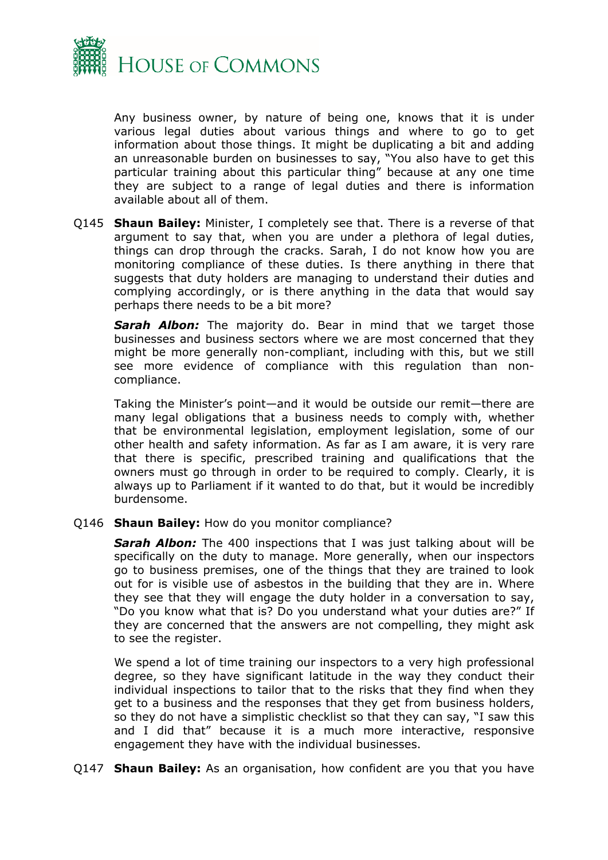

Any business owner, by nature of being one, knows that it is under various legal duties about various things and where to go to get information about those things. It might be duplicating a bit and adding an unreasonable burden on businesses to say, "You also have to get this particular training about this particular thing" because at any one time they are subject to a range of legal duties and there is information available about all of them.

Q145 **Shaun Bailey:** Minister, I completely see that. There is a reverse of that argument to say that, when you are under a plethora of legal duties, things can drop through the cracks. Sarah, I do not know how you are monitoring compliance of these duties. Is there anything in there that suggests that duty holders are managing to understand their duties and complying accordingly, or is there anything in the data that would say perhaps there needs to be a bit more?

*Sarah Albon:* The majority do. Bear in mind that we target those businesses and business sectors where we are most concerned that they might be more generally non-compliant, including with this, but we still see more evidence of compliance with this regulation than noncompliance.

Taking the Minister's point—and it would be outside our remit—there are many legal obligations that a business needs to comply with, whether that be environmental legislation, employment legislation, some of our other health and safety information. As far as I am aware, it is very rare that there is specific, prescribed training and qualifications that the owners must go through in order to be required to comply. Clearly, it is always up to Parliament if it wanted to do that, but it would be incredibly burdensome.

Q146 **Shaun Bailey:** How do you monitor compliance?

**Sarah Albon:** The 400 inspections that I was just talking about will be specifically on the duty to manage. More generally, when our inspectors go to business premises, one of the things that they are trained to look out for is visible use of asbestos in the building that they are in. Where they see that they will engage the duty holder in a conversation to say, "Do you know what that is? Do you understand what your duties are?" If they are concerned that the answers are not compelling, they might ask to see the register.

We spend a lot of time training our inspectors to a very high professional degree, so they have significant latitude in the way they conduct their individual inspections to tailor that to the risks that they find when they get to a business and the responses that they get from business holders, so they do not have a simplistic checklist so that they can say, "I saw this and I did that" because it is a much more interactive, responsive engagement they have with the individual businesses.

Q147 **Shaun Bailey:** As an organisation, how confident are you that you have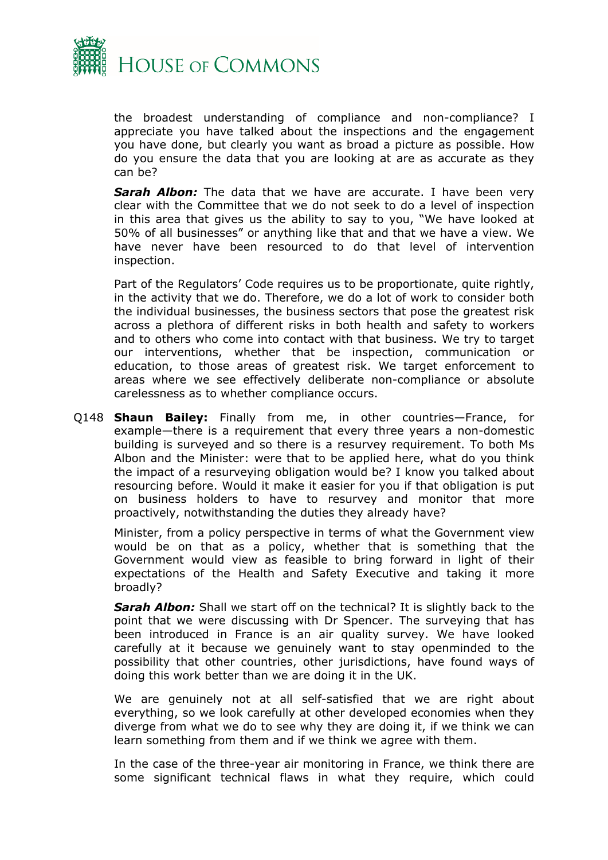

the broadest understanding of compliance and non-compliance? I appreciate you have talked about the inspections and the engagement you have done, but clearly you want as broad a picture as possible. How do you ensure the data that you are looking at are as accurate as they can be?

*Sarah Albon:* The data that we have are accurate. I have been very clear with the Committee that we do not seek to do a level of inspection in this area that gives us the ability to say to you, "We have looked at 50% of all businesses" or anything like that and that we have a view. We have never have been resourced to do that level of intervention inspection.

Part of the Regulators' Code requires us to be proportionate, quite rightly, in the activity that we do. Therefore, we do a lot of work to consider both the individual businesses, the business sectors that pose the greatest risk across a plethora of different risks in both health and safety to workers and to others who come into contact with that business. We try to target our interventions, whether that be inspection, communication or education, to those areas of greatest risk. We target enforcement to areas where we see effectively deliberate non-compliance or absolute carelessness as to whether compliance occurs.

Q148 **Shaun Bailey:** Finally from me, in other countries—France, for example—there is a requirement that every three years a non-domestic building is surveyed and so there is a resurvey requirement. To both Ms Albon and the Minister: were that to be applied here, what do you think the impact of a resurveying obligation would be? I know you talked about resourcing before. Would it make it easier for you if that obligation is put on business holders to have to resurvey and monitor that more proactively, notwithstanding the duties they already have?

Minister, from a policy perspective in terms of what the Government view would be on that as a policy, whether that is something that the Government would view as feasible to bring forward in light of their expectations of the Health and Safety Executive and taking it more broadly?

**Sarah Albon:** Shall we start off on the technical? It is slightly back to the point that we were discussing with Dr Spencer. The surveying that has been introduced in France is an air quality survey. We have looked carefully at it because we genuinely want to stay openminded to the possibility that other countries, other jurisdictions, have found ways of doing this work better than we are doing it in the UK.

We are genuinely not at all self-satisfied that we are right about everything, so we look carefully at other developed economies when they diverge from what we do to see why they are doing it, if we think we can learn something from them and if we think we agree with them.

In the case of the three-year air monitoring in France, we think there are some significant technical flaws in what they require, which could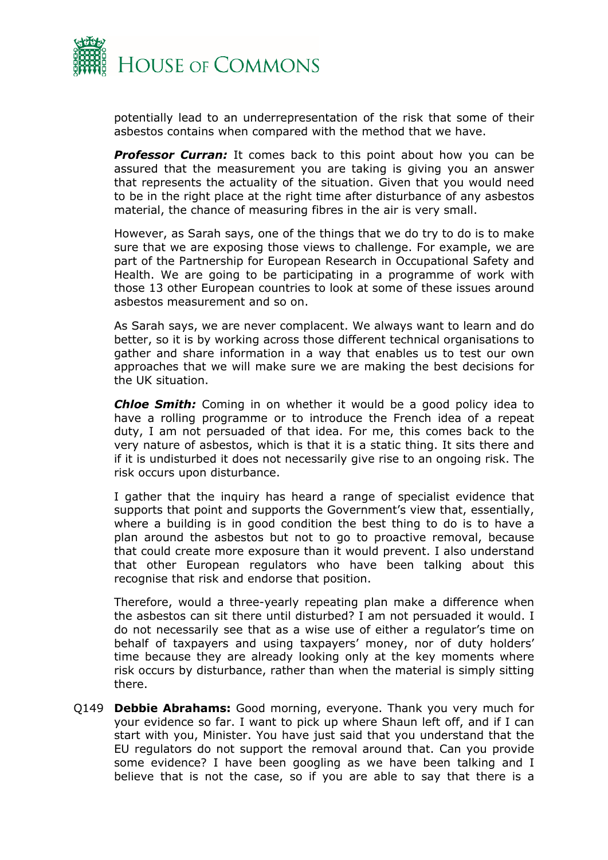

potentially lead to an underrepresentation of the risk that some of their asbestos contains when compared with the method that we have.

*Professor Curran:* It comes back to this point about how you can be assured that the measurement you are taking is giving you an answer that represents the actuality of the situation. Given that you would need to be in the right place at the right time after disturbance of any asbestos material, the chance of measuring fibres in the air is very small.

However, as Sarah says, one of the things that we do try to do is to make sure that we are exposing those views to challenge. For example, we are part of the Partnership for European Research in Occupational Safety and Health. We are going to be participating in a programme of work with those 13 other European countries to look at some of these issues around asbestos measurement and so on.

As Sarah says, we are never complacent. We always want to learn and do better, so it is by working across those different technical organisations to gather and share information in a way that enables us to test our own approaches that we will make sure we are making the best decisions for the UK situation.

*Chloe Smith:* Coming in on whether it would be a good policy idea to have a rolling programme or to introduce the French idea of a repeat duty, I am not persuaded of that idea. For me, this comes back to the very nature of asbestos, which is that it is a static thing. It sits there and if it is undisturbed it does not necessarily give rise to an ongoing risk. The risk occurs upon disturbance.

I gather that the inquiry has heard a range of specialist evidence that supports that point and supports the Government's view that, essentially, where a building is in good condition the best thing to do is to have a plan around the asbestos but not to go to proactive removal, because that could create more exposure than it would prevent. I also understand that other European regulators who have been talking about this recognise that risk and endorse that position.

Therefore, would a three-yearly repeating plan make a difference when the asbestos can sit there until disturbed? I am not persuaded it would. I do not necessarily see that as a wise use of either a regulator's time on behalf of taxpayers and using taxpayers' money, nor of duty holders' time because they are already looking only at the key moments where risk occurs by disturbance, rather than when the material is simply sitting there.

Q149 **Debbie Abrahams:** Good morning, everyone. Thank you very much for your evidence so far. I want to pick up where Shaun left off, and if I can start with you, Minister. You have just said that you understand that the EU regulators do not support the removal around that. Can you provide some evidence? I have been googling as we have been talking and I believe that is not the case, so if you are able to say that there is a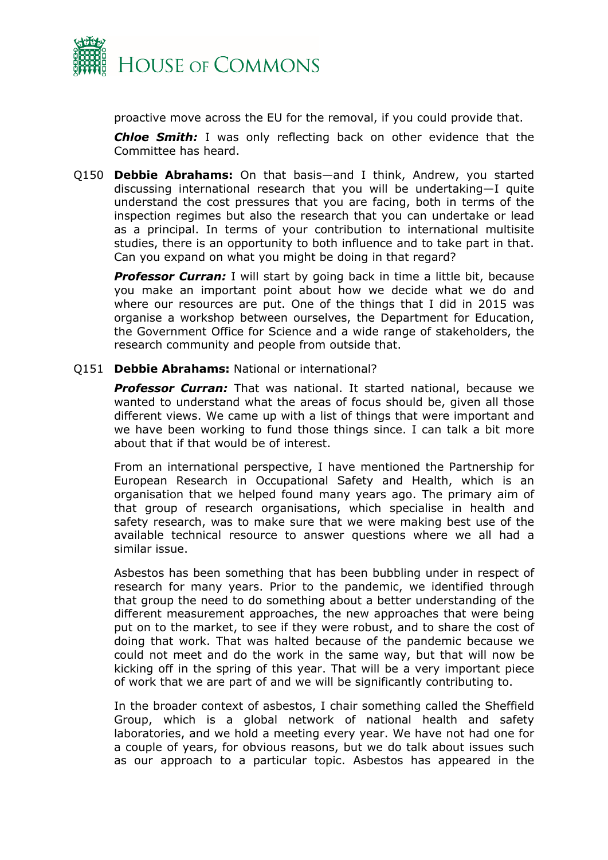

proactive move across the EU for the removal, if you could provide that.

*Chloe Smith:* I was only reflecting back on other evidence that the Committee has heard.

Q150 **Debbie Abrahams:** On that basis—and I think, Andrew, you started discussing international research that you will be undertaking—I quite understand the cost pressures that you are facing, both in terms of the inspection regimes but also the research that you can undertake or lead as a principal. In terms of your contribution to international multisite studies, there is an opportunity to both influence and to take part in that. Can you expand on what you might be doing in that regard?

**Professor Curran:** I will start by going back in time a little bit, because you make an important point about how we decide what we do and where our resources are put. One of the things that I did in 2015 was organise a workshop between ourselves, the Department for Education, the Government Office for Science and a wide range of stakeholders, the research community and people from outside that.

Q151 **Debbie Abrahams:** National or international?

**Professor Curran:** That was national. It started national, because we wanted to understand what the areas of focus should be, given all those different views. We came up with a list of things that were important and we have been working to fund those things since. I can talk a bit more about that if that would be of interest.

From an international perspective, I have mentioned the Partnership for European Research in Occupational Safety and Health, which is an organisation that we helped found many years ago. The primary aim of that group of research organisations, which specialise in health and safety research, was to make sure that we were making best use of the available technical resource to answer questions where we all had a similar issue.

Asbestos has been something that has been bubbling under in respect of research for many years. Prior to the pandemic, we identified through that group the need to do something about a better understanding of the different measurement approaches, the new approaches that were being put on to the market, to see if they were robust, and to share the cost of doing that work. That was halted because of the pandemic because we could not meet and do the work in the same way, but that will now be kicking off in the spring of this year. That will be a very important piece of work that we are part of and we will be significantly contributing to.

In the broader context of asbestos, I chair something called the Sheffield Group, which is a global network of national health and safety laboratories, and we hold a meeting every year. We have not had one for a couple of years, for obvious reasons, but we do talk about issues such as our approach to a particular topic. Asbestos has appeared in the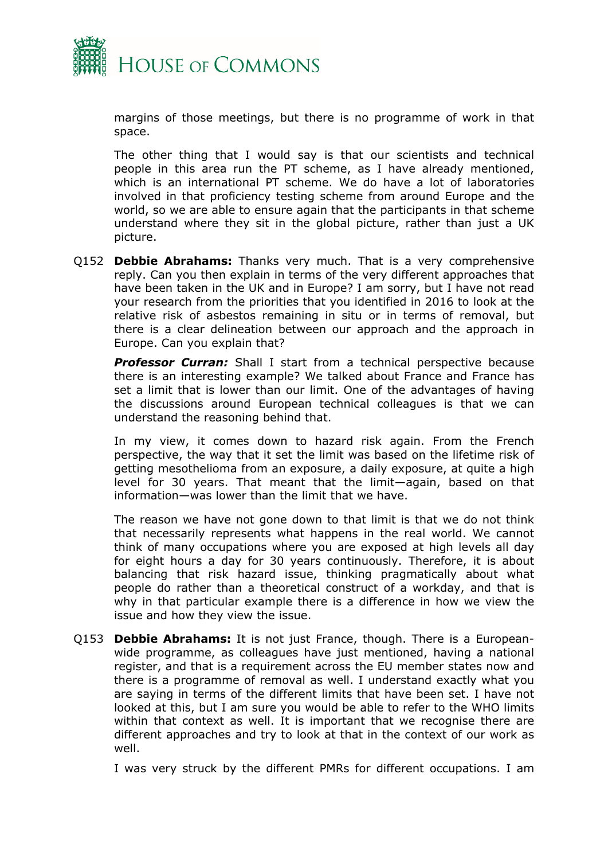

margins of those meetings, but there is no programme of work in that space.

The other thing that I would say is that our scientists and technical people in this area run the PT scheme, as I have already mentioned, which is an international PT scheme. We do have a lot of laboratories involved in that proficiency testing scheme from around Europe and the world, so we are able to ensure again that the participants in that scheme understand where they sit in the global picture, rather than just a UK picture.

Q152 **Debbie Abrahams:** Thanks very much. That is a very comprehensive reply. Can you then explain in terms of the very different approaches that have been taken in the UK and in Europe? I am sorry, but I have not read your research from the priorities that you identified in 2016 to look at the relative risk of asbestos remaining in situ or in terms of removal, but there is a clear delineation between our approach and the approach in Europe. Can you explain that?

**Professor Curran:** Shall I start from a technical perspective because there is an interesting example? We talked about France and France has set a limit that is lower than our limit. One of the advantages of having the discussions around European technical colleagues is that we can understand the reasoning behind that.

In my view, it comes down to hazard risk again. From the French perspective, the way that it set the limit was based on the lifetime risk of getting mesothelioma from an exposure, a daily exposure, at quite a high level for 30 years. That meant that the limit—again, based on that information—was lower than the limit that we have.

The reason we have not gone down to that limit is that we do not think that necessarily represents what happens in the real world. We cannot think of many occupations where you are exposed at high levels all day for eight hours a day for 30 years continuously. Therefore, it is about balancing that risk hazard issue, thinking pragmatically about what people do rather than a theoretical construct of a workday, and that is why in that particular example there is a difference in how we view the issue and how they view the issue.

Q153 **Debbie Abrahams:** It is not just France, though. There is a Europeanwide programme, as colleagues have just mentioned, having a national register, and that is a requirement across the EU member states now and there is a programme of removal as well. I understand exactly what you are saying in terms of the different limits that have been set. I have not looked at this, but I am sure you would be able to refer to the WHO limits within that context as well. It is important that we recognise there are different approaches and try to look at that in the context of our work as well.

I was very struck by the different PMRs for different occupations. I am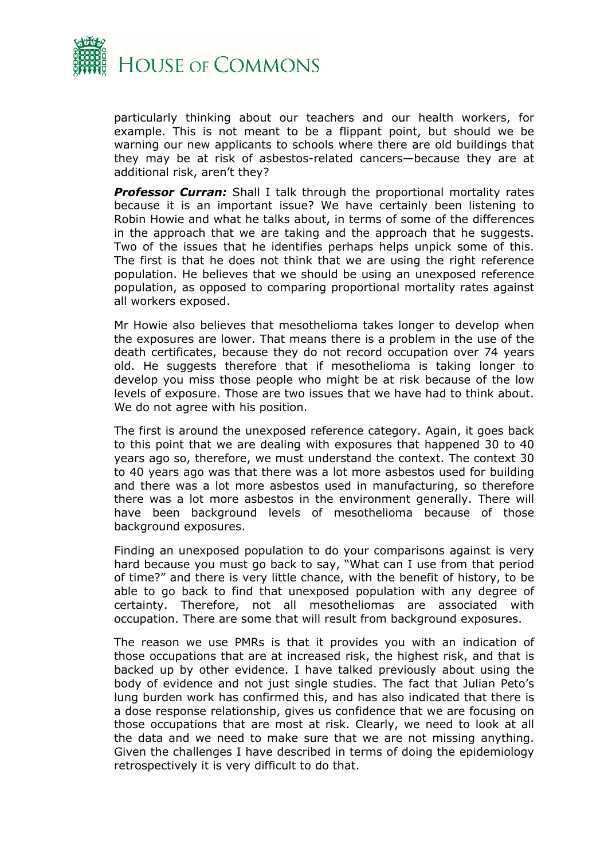

particularly thinking about our teachers and our health workers, for example. This is not meant to be a flippant point, but should we be warning our new applicants to schools where there are old buildings that they may be at risk of asbestos-related cancers—because they are at additional risk, aren't they?

**Professor Curran:** Shall I talk through the proportional mortality rates because it is an important issue? We have certainly been listening to Robin Howie and what he talks about, in terms of some of the differences in the approach that we are taking and the approach that he suggests. Two of the issues that he identifies perhaps helps unpick some of this. The first is that he does not think that we are using the right reference population. He believes that we should be using an unexposed reference population, as opposed to comparing proportional mortality rates against all workers exposed.

Mr Howie also believes that mesothelioma takes longer to develop when the exposures are lower. That means there is a problem in the use of the death certificates, because they do not record occupation over 74 years old. He suggests therefore that if mesothelioma is taking longer to develop you miss those people who might be at risk because of the low levels of exposure. Those are two issues that we have had to think about. We do not agree with his position.

The first is around the unexposed reference category. Again, it goes back to this point that we are dealing with exposures that happened 30 to 40 years ago so, therefore, we must understand the context. The context 30 to 40 years ago was that there was a lot more asbestos used for building and there was a lot more asbestos used in manufacturing, so therefore there was a lot more asbestos in the environment generally. There will have been background levels of mesothelioma because of those background exposures.

Finding an unexposed population to do your comparisons against is very hard because you must go back to say, "What can I use from that period of time?" and there is very little chance, with the benefit of history, to be able to go back to find that unexposed population with any degree of certainty. Therefore, not all mesotheliomas are associated with occupation. There are some that will result from background exposures.

The reason we use PMRs is that it provides you with an indication of those occupations that are at increased risk, the highest risk, and that is backed up by other evidence. I have talked previously about using the body of evidence and not just single studies. The fact that Julian Peto's lung burden work has confirmed this, and has also indicated that there is a dose response relationship, gives us confidence that we are focusing on those occupations that are most at risk. Clearly, we need to look at all the data and we need to make sure that we are not missing anything. Given the challenges I have described in terms of doing the epidemiology retrospectively it is very difficult to do that.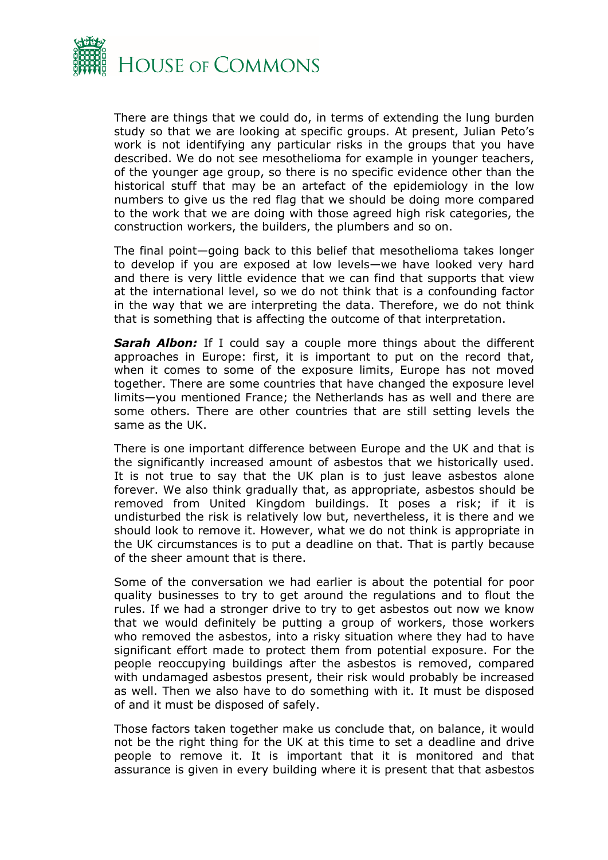

There are things that we could do, in terms of extending the lung burden study so that we are looking at specific groups. At present, Julian Peto's work is not identifying any particular risks in the groups that you have described. We do not see mesothelioma for example in younger teachers, of the younger age group, so there is no specific evidence other than the historical stuff that may be an artefact of the epidemiology in the low numbers to give us the red flag that we should be doing more compared to the work that we are doing with those agreed high risk categories, the construction workers, the builders, the plumbers and so on.

The final point—going back to this belief that mesothelioma takes longer to develop if you are exposed at low levels—we have looked very hard and there is very little evidence that we can find that supports that view at the international level, so we do not think that is a confounding factor in the way that we are interpreting the data. Therefore, we do not think that is something that is affecting the outcome of that interpretation.

*Sarah Albon:* If I could say a couple more things about the different approaches in Europe: first, it is important to put on the record that, when it comes to some of the exposure limits, Europe has not moved together. There are some countries that have changed the exposure level limits—you mentioned France; the Netherlands has as well and there are some others. There are other countries that are still setting levels the same as the UK.

There is one important difference between Europe and the UK and that is the significantly increased amount of asbestos that we historically used. It is not true to say that the UK plan is to just leave asbestos alone forever. We also think gradually that, as appropriate, asbestos should be removed from United Kingdom buildings. It poses a risk; if it is undisturbed the risk is relatively low but, nevertheless, it is there and we should look to remove it. However, what we do not think is appropriate in the UK circumstances is to put a deadline on that. That is partly because of the sheer amount that is there.

Some of the conversation we had earlier is about the potential for poor quality businesses to try to get around the regulations and to flout the rules. If we had a stronger drive to try to get asbestos out now we know that we would definitely be putting a group of workers, those workers who removed the asbestos, into a risky situation where they had to have significant effort made to protect them from potential exposure. For the people reoccupying buildings after the asbestos is removed, compared with undamaged asbestos present, their risk would probably be increased as well. Then we also have to do something with it. It must be disposed of and it must be disposed of safely.

Those factors taken together make us conclude that, on balance, it would not be the right thing for the UK at this time to set a deadline and drive people to remove it. It is important that it is monitored and that assurance is given in every building where it is present that that asbestos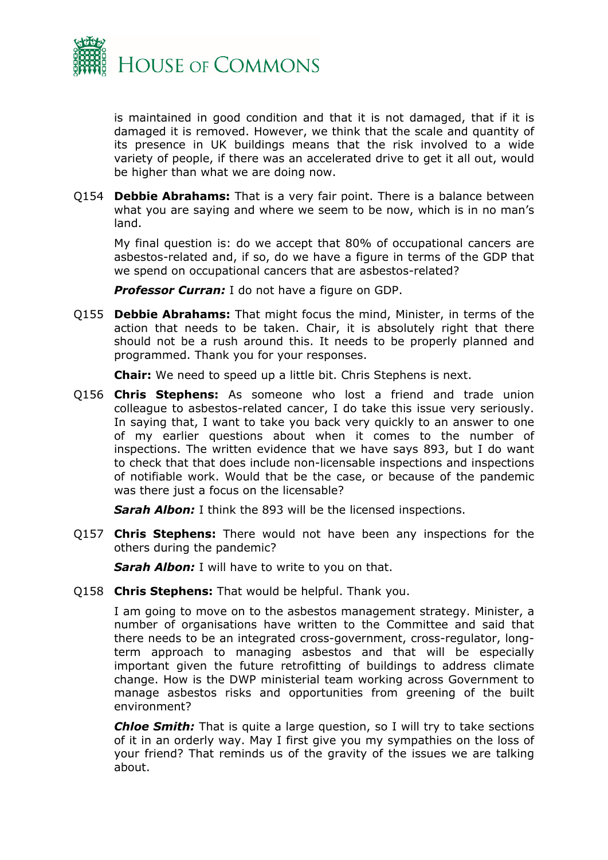

is maintained in good condition and that it is not damaged, that if it is damaged it is removed. However, we think that the scale and quantity of its presence in UK buildings means that the risk involved to a wide variety of people, if there was an accelerated drive to get it all out, would be higher than what we are doing now.

Q154 **Debbie Abrahams:** That is a very fair point. There is a balance between what you are saying and where we seem to be now, which is in no man's land.

My final question is: do we accept that 80% of occupational cancers are asbestos-related and, if so, do we have a figure in terms of the GDP that we spend on occupational cancers that are asbestos-related?

**Professor Curran:** I do not have a figure on GDP.

Q155 **Debbie Abrahams:** That might focus the mind, Minister, in terms of the action that needs to be taken. Chair, it is absolutely right that there should not be a rush around this. It needs to be properly planned and programmed. Thank you for your responses.

**Chair:** We need to speed up a little bit. Chris Stephens is next.

Q156 **Chris Stephens:** As someone who lost a friend and trade union colleague to asbestos-related cancer, I do take this issue very seriously. In saying that, I want to take you back very quickly to an answer to one of my earlier questions about when it comes to the number of inspections. The written evidence that we have says 893, but I do want to check that that does include non-licensable inspections and inspections of notifiable work. Would that be the case, or because of the pandemic was there just a focus on the licensable?

*Sarah Albon:* I think the 893 will be the licensed inspections.

Q157 **Chris Stephens:** There would not have been any inspections for the others during the pandemic?

*Sarah Albon:* I will have to write to you on that.

Q158 **Chris Stephens:** That would be helpful. Thank you.

I am going to move on to the asbestos management strategy. Minister, a number of organisations have written to the Committee and said that there needs to be an integrated cross-government, cross-regulator, longterm approach to managing asbestos and that will be especially important given the future retrofitting of buildings to address climate change. How is the DWP ministerial team working across Government to manage asbestos risks and opportunities from greening of the built environment?

*Chloe Smith:* That is quite a large question, so I will try to take sections of it in an orderly way. May I first give you my sympathies on the loss of your friend? That reminds us of the gravity of the issues we are talking about.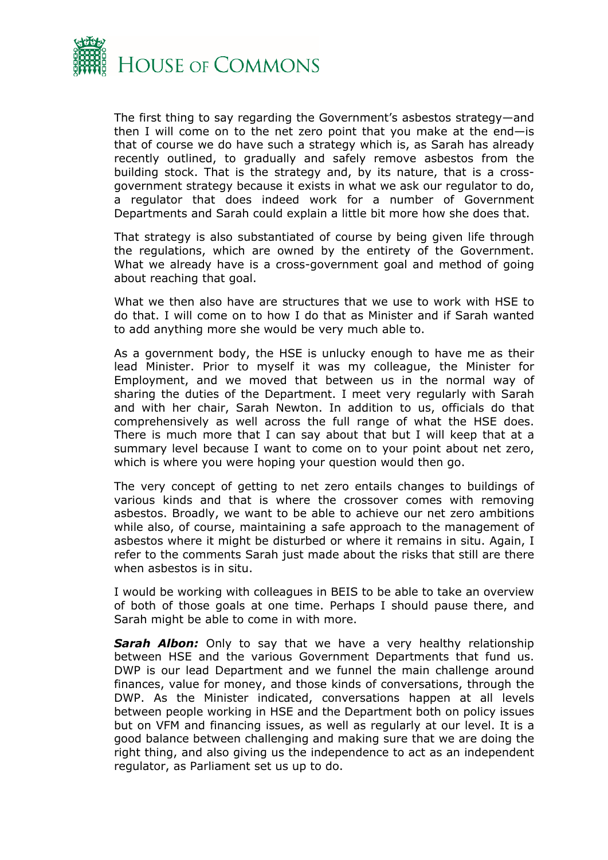

The first thing to say regarding the Government's asbestos strategy—and then I will come on to the net zero point that you make at the end—is that of course we do have such a strategy which is, as Sarah has already recently outlined, to gradually and safely remove asbestos from the building stock. That is the strategy and, by its nature, that is a crossgovernment strategy because it exists in what we ask our regulator to do, a regulator that does indeed work for a number of Government Departments and Sarah could explain a little bit more how she does that.

That strategy is also substantiated of course by being given life through the regulations, which are owned by the entirety of the Government. What we already have is a cross-government goal and method of going about reaching that goal.

What we then also have are structures that we use to work with HSE to do that. I will come on to how I do that as Minister and if Sarah wanted to add anything more she would be very much able to.

As a government body, the HSE is unlucky enough to have me as their lead Minister. Prior to myself it was my colleague, the Minister for Employment, and we moved that between us in the normal way of sharing the duties of the Department. I meet very regularly with Sarah and with her chair, Sarah Newton. In addition to us, officials do that comprehensively as well across the full range of what the HSE does. There is much more that I can say about that but I will keep that at a summary level because I want to come on to your point about net zero, which is where you were hoping your question would then go.

The very concept of getting to net zero entails changes to buildings of various kinds and that is where the crossover comes with removing asbestos. Broadly, we want to be able to achieve our net zero ambitions while also, of course, maintaining a safe approach to the management of asbestos where it might be disturbed or where it remains in situ. Again, I refer to the comments Sarah just made about the risks that still are there when asbestos is in situ.

I would be working with colleagues in BEIS to be able to take an overview of both of those goals at one time. Perhaps I should pause there, and Sarah might be able to come in with more.

*Sarah Albon:* Only to say that we have a very healthy relationship between HSE and the various Government Departments that fund us. DWP is our lead Department and we funnel the main challenge around finances, value for money, and those kinds of conversations, through the DWP. As the Minister indicated, conversations happen at all levels between people working in HSE and the Department both on policy issues but on VFM and financing issues, as well as regularly at our level. It is a good balance between challenging and making sure that we are doing the right thing, and also giving us the independence to act as an independent regulator, as Parliament set us up to do.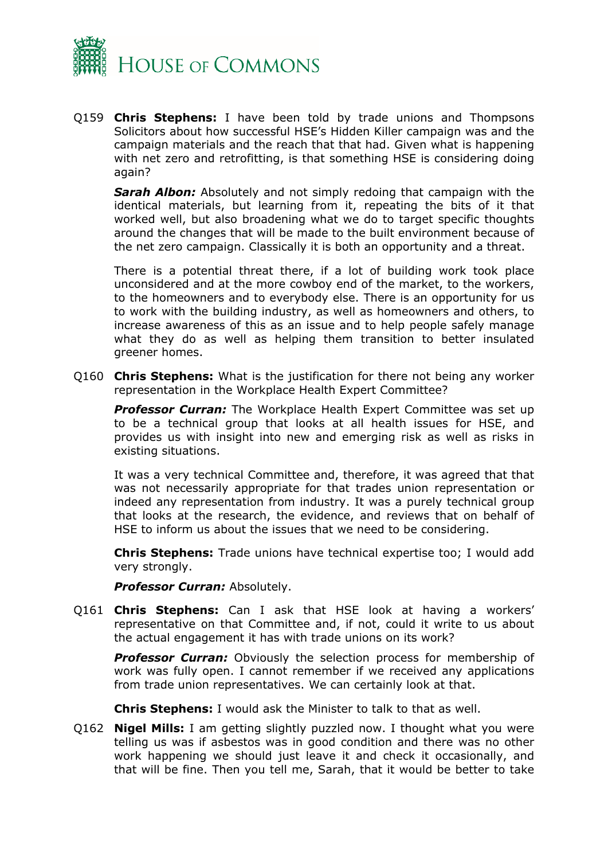

Q159 **Chris Stephens:** I have been told by trade unions and Thompsons Solicitors about how successful HSE's Hidden Killer campaign was and the campaign materials and the reach that that had. Given what is happening with net zero and retrofitting, is that something HSE is considering doing again?

*Sarah Albon:* Absolutely and not simply redoing that campaign with the identical materials, but learning from it, repeating the bits of it that worked well, but also broadening what we do to target specific thoughts around the changes that will be made to the built environment because of the net zero campaign. Classically it is both an opportunity and a threat.

There is a potential threat there, if a lot of building work took place unconsidered and at the more cowboy end of the market, to the workers, to the homeowners and to everybody else. There is an opportunity for us to work with the building industry, as well as homeowners and others, to increase awareness of this as an issue and to help people safely manage what they do as well as helping them transition to better insulated greener homes.

Q160 **Chris Stephens:** What is the justification for there not being any worker representation in the Workplace Health Expert Committee?

*Professor Curran:* The Workplace Health Expert Committee was set up to be a technical group that looks at all health issues for HSE, and provides us with insight into new and emerging risk as well as risks in existing situations.

It was a very technical Committee and, therefore, it was agreed that that was not necessarily appropriate for that trades union representation or indeed any representation from industry. It was a purely technical group that looks at the research, the evidence, and reviews that on behalf of HSE to inform us about the issues that we need to be considering.

**Chris Stephens:** Trade unions have technical expertise too; I would add very strongly.

**Professor Curran: Absolutely.** 

Q161 **Chris Stephens:** Can I ask that HSE look at having a workers' representative on that Committee and, if not, could it write to us about the actual engagement it has with trade unions on its work?

**Professor Curran:** Obviously the selection process for membership of work was fully open. I cannot remember if we received any applications from trade union representatives. We can certainly look at that.

**Chris Stephens:** I would ask the Minister to talk to that as well.

Q162 **Nigel Mills:** I am getting slightly puzzled now. I thought what you were telling us was if asbestos was in good condition and there was no other work happening we should just leave it and check it occasionally, and that will be fine. Then you tell me, Sarah, that it would be better to take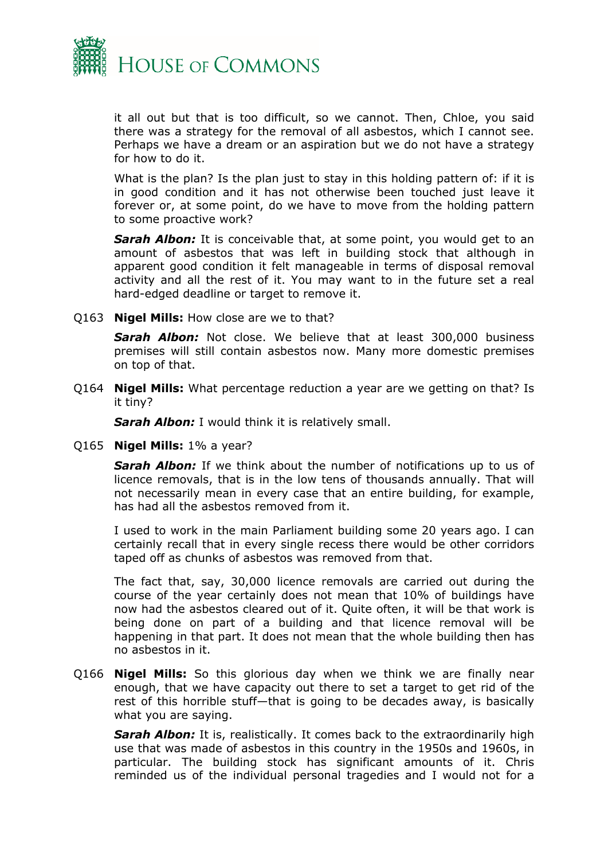

it all out but that is too difficult, so we cannot. Then, Chloe, you said there was a strategy for the removal of all asbestos, which I cannot see. Perhaps we have a dream or an aspiration but we do not have a strategy for how to do it.

What is the plan? Is the plan just to stay in this holding pattern of: if it is in good condition and it has not otherwise been touched just leave it forever or, at some point, do we have to move from the holding pattern to some proactive work?

**Sarah Albon:** It is conceivable that, at some point, you would get to an amount of asbestos that was left in building stock that although in apparent good condition it felt manageable in terms of disposal removal activity and all the rest of it. You may want to in the future set a real hard-edged deadline or target to remove it.

Q163 **Nigel Mills:** How close are we to that?

*Sarah Albon:* Not close. We believe that at least 300,000 business premises will still contain asbestos now. Many more domestic premises on top of that.

Q164 **Nigel Mills:** What percentage reduction a year are we getting on that? Is it tiny?

*Sarah Albon:* I would think it is relatively small.

Q165 **Nigel Mills:** 1% a year?

*Sarah Albon:* If we think about the number of notifications up to us of licence removals, that is in the low tens of thousands annually. That will not necessarily mean in every case that an entire building, for example, has had all the asbestos removed from it.

I used to work in the main Parliament building some 20 years ago. I can certainly recall that in every single recess there would be other corridors taped off as chunks of asbestos was removed from that.

The fact that, say, 30,000 licence removals are carried out during the course of the year certainly does not mean that 10% of buildings have now had the asbestos cleared out of it. Quite often, it will be that work is being done on part of a building and that licence removal will be happening in that part. It does not mean that the whole building then has no asbestos in it.

Q166 **Nigel Mills:** So this glorious day when we think we are finally near enough, that we have capacity out there to set a target to get rid of the rest of this horrible stuff—that is going to be decades away, is basically what you are saying.

**Sarah Albon:** It is, realistically. It comes back to the extraordinarily high use that was made of asbestos in this country in the 1950s and 1960s, in particular. The building stock has significant amounts of it. Chris reminded us of the individual personal tragedies and I would not for a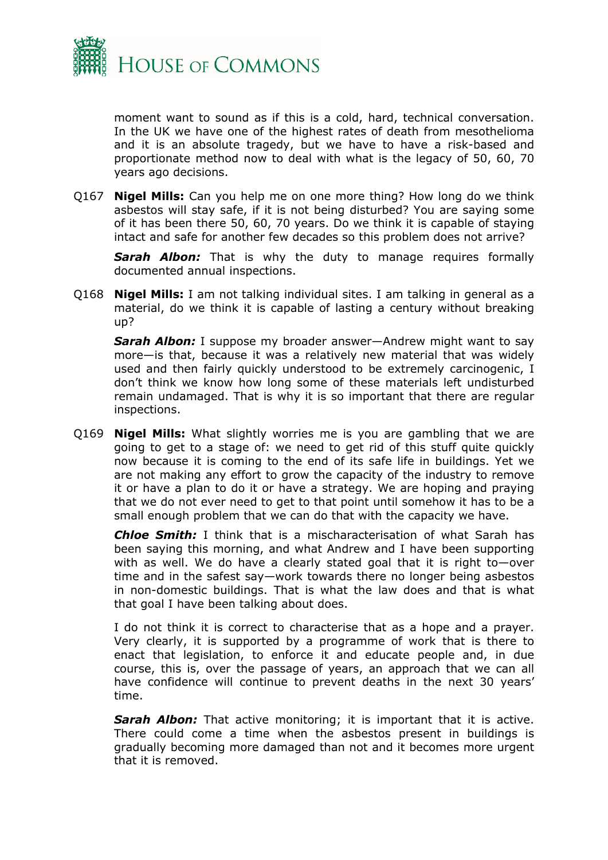

moment want to sound as if this is a cold, hard, technical conversation. In the UK we have one of the highest rates of death from mesothelioma and it is an absolute tragedy, but we have to have a risk-based and proportionate method now to deal with what is the legacy of 50, 60, 70 years ago decisions.

Q167 **Nigel Mills:** Can you help me on one more thing? How long do we think asbestos will stay safe, if it is not being disturbed? You are saying some of it has been there 50, 60, 70 years. Do we think it is capable of staying intact and safe for another few decades so this problem does not arrive?

*Sarah Albon:* That is why the duty to manage requires formally documented annual inspections.

Q168 **Nigel Mills:** I am not talking individual sites. I am talking in general as a material, do we think it is capable of lasting a century without breaking up?

*Sarah Albon:* I suppose my broader answer—Andrew might want to say more—is that, because it was a relatively new material that was widely used and then fairly quickly understood to be extremely carcinogenic, I don't think we know how long some of these materials left undisturbed remain undamaged. That is why it is so important that there are regular inspections.

Q169 **Nigel Mills:** What slightly worries me is you are gambling that we are going to get to a stage of: we need to get rid of this stuff quite quickly now because it is coming to the end of its safe life in buildings. Yet we are not making any effort to grow the capacity of the industry to remove it or have a plan to do it or have a strategy. We are hoping and praying that we do not ever need to get to that point until somehow it has to be a small enough problem that we can do that with the capacity we have.

*Chloe Smith:* I think that is a mischaracterisation of what Sarah has been saying this morning, and what Andrew and I have been supporting with as well. We do have a clearly stated goal that it is right to—over time and in the safest say—work towards there no longer being asbestos in non-domestic buildings. That is what the law does and that is what that goal I have been talking about does.

I do not think it is correct to characterise that as a hope and a prayer. Very clearly, it is supported by a programme of work that is there to enact that legislation, to enforce it and educate people and, in due course, this is, over the passage of years, an approach that we can all have confidence will continue to prevent deaths in the next 30 years' time.

**Sarah Albon:** That active monitoring; it is important that it is active. There could come a time when the asbestos present in buildings is gradually becoming more damaged than not and it becomes more urgent that it is removed.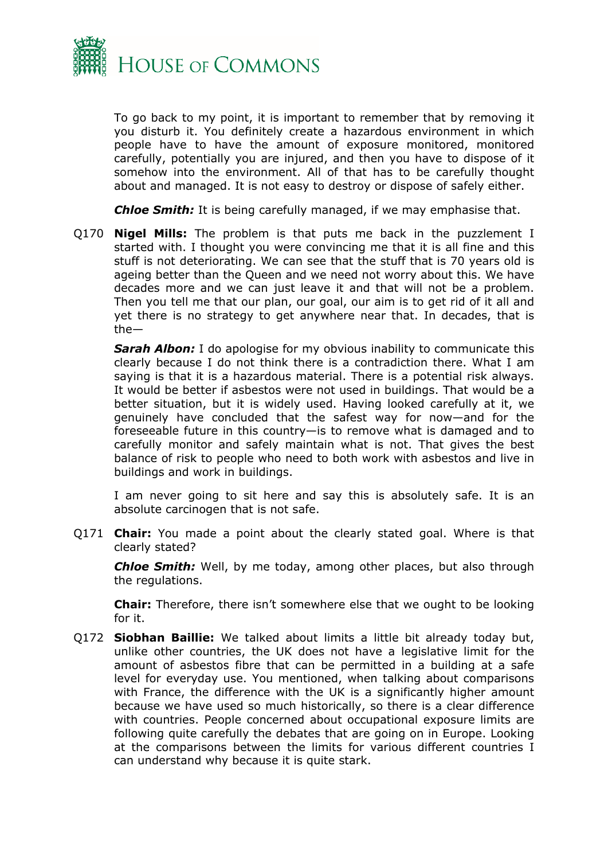

To go back to my point, it is important to remember that by removing it you disturb it. You definitely create a hazardous environment in which people have to have the amount of exposure monitored, monitored carefully, potentially you are injured, and then you have to dispose of it somehow into the environment. All of that has to be carefully thought about and managed. It is not easy to destroy or dispose of safely either.

*Chloe Smith:* It is being carefully managed, if we may emphasise that.

Q170 **Nigel Mills:** The problem is that puts me back in the puzzlement I started with. I thought you were convincing me that it is all fine and this stuff is not deteriorating. We can see that the stuff that is 70 years old is ageing better than the Queen and we need not worry about this. We have decades more and we can just leave it and that will not be a problem. Then you tell me that our plan, our goal, our aim is to get rid of it all and yet there is no strategy to get anywhere near that. In decades, that is the—

**Sarah Albon:** I do apologise for my obvious inability to communicate this clearly because I do not think there is a contradiction there. What I am saying is that it is a hazardous material. There is a potential risk always. It would be better if asbestos were not used in buildings. That would be a better situation, but it is widely used. Having looked carefully at it, we genuinely have concluded that the safest way for now—and for the foreseeable future in this country—is to remove what is damaged and to carefully monitor and safely maintain what is not. That gives the best balance of risk to people who need to both work with asbestos and live in buildings and work in buildings.

I am never going to sit here and say this is absolutely safe. It is an absolute carcinogen that is not safe.

Q171 **Chair:** You made a point about the clearly stated goal. Where is that clearly stated?

*Chloe Smith:* Well, by me today, among other places, but also through the regulations.

**Chair:** Therefore, there isn't somewhere else that we ought to be looking for it.

Q172 **Siobhan Baillie:** We talked about limits a little bit already today but, unlike other countries, the UK does not have a legislative limit for the amount of asbestos fibre that can be permitted in a building at a safe level for everyday use. You mentioned, when talking about comparisons with France, the difference with the UK is a significantly higher amount because we have used so much historically, so there is a clear difference with countries. People concerned about occupational exposure limits are following quite carefully the debates that are going on in Europe. Looking at the comparisons between the limits for various different countries I can understand why because it is quite stark.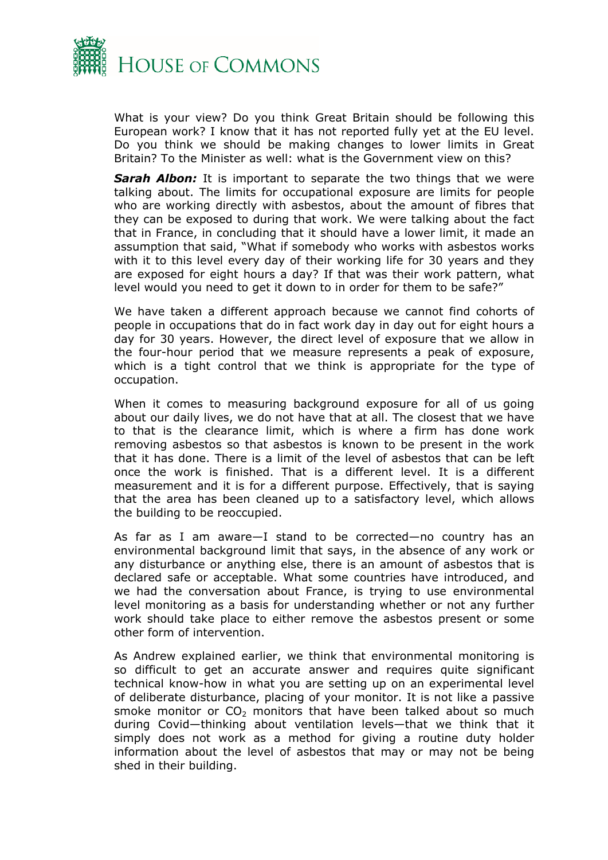

What is your view? Do you think Great Britain should be following this European work? I know that it has not reported fully yet at the EU level. Do you think we should be making changes to lower limits in Great Britain? To the Minister as well: what is the Government view on this?

*Sarah Albon:* It is important to separate the two things that we were talking about. The limits for occupational exposure are limits for people who are working directly with asbestos, about the amount of fibres that they can be exposed to during that work. We were talking about the fact that in France, in concluding that it should have a lower limit, it made an assumption that said, "What if somebody who works with asbestos works with it to this level every day of their working life for 30 years and they are exposed for eight hours a day? If that was their work pattern, what level would you need to get it down to in order for them to be safe?"

We have taken a different approach because we cannot find cohorts of people in occupations that do in fact work day in day out for eight hours a day for 30 years. However, the direct level of exposure that we allow in the four-hour period that we measure represents a peak of exposure, which is a tight control that we think is appropriate for the type of occupation.

When it comes to measuring background exposure for all of us going about our daily lives, we do not have that at all. The closest that we have to that is the clearance limit, which is where a firm has done work removing asbestos so that asbestos is known to be present in the work that it has done. There is a limit of the level of asbestos that can be left once the work is finished. That is a different level. It is a different measurement and it is for a different purpose. Effectively, that is saying that the area has been cleaned up to a satisfactory level, which allows the building to be reoccupied.

As far as I am aware—I stand to be corrected—no country has an environmental background limit that says, in the absence of any work or any disturbance or anything else, there is an amount of asbestos that is declared safe or acceptable. What some countries have introduced, and we had the conversation about France, is trying to use environmental level monitoring as a basis for understanding whether or not any further work should take place to either remove the asbestos present or some other form of intervention.

As Andrew explained earlier, we think that environmental monitoring is so difficult to get an accurate answer and requires quite significant technical know-how in what you are setting up on an experimental level of deliberate disturbance, placing of your monitor. It is not like a passive smoke monitor or  $CO<sub>2</sub>$  monitors that have been talked about so much during Covid—thinking about ventilation levels—that we think that it simply does not work as a method for giving a routine duty holder information about the level of asbestos that may or may not be being shed in their building.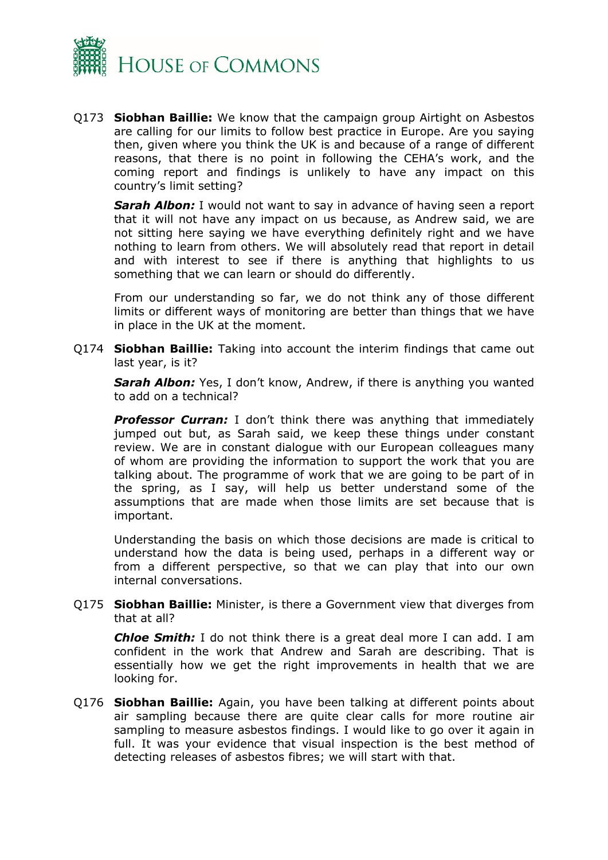

Q173 **Siobhan Baillie:** We know that the campaign group Airtight on Asbestos are calling for our limits to follow best practice in Europe. Are you saying then, given where you think the UK is and because of a range of different reasons, that there is no point in following the CEHA's work, and the coming report and findings is unlikely to have any impact on this country's limit setting?

**Sarah Albon:** I would not want to say in advance of having seen a report that it will not have any impact on us because, as Andrew said, we are not sitting here saying we have everything definitely right and we have nothing to learn from others. We will absolutely read that report in detail and with interest to see if there is anything that highlights to us something that we can learn or should do differently.

From our understanding so far, we do not think any of those different limits or different ways of monitoring are better than things that we have in place in the UK at the moment.

Q174 **Siobhan Baillie:** Taking into account the interim findings that came out last year, is it?

**Sarah Albon:** Yes, I don't know, Andrew, if there is anything you wanted to add on a technical?

**Professor Curran:** I don't think there was anything that immediately jumped out but, as Sarah said, we keep these things under constant review. We are in constant dialogue with our European colleagues many of whom are providing the information to support the work that you are talking about. The programme of work that we are going to be part of in the spring, as I say, will help us better understand some of the assumptions that are made when those limits are set because that is important.

Understanding the basis on which those decisions are made is critical to understand how the data is being used, perhaps in a different way or from a different perspective, so that we can play that into our own internal conversations.

Q175 **Siobhan Baillie:** Minister, is there a Government view that diverges from that at all?

*Chloe Smith:* I do not think there is a great deal more I can add. I am confident in the work that Andrew and Sarah are describing. That is essentially how we get the right improvements in health that we are looking for.

Q176 **Siobhan Baillie:** Again, you have been talking at different points about air sampling because there are quite clear calls for more routine air sampling to measure asbestos findings. I would like to go over it again in full. It was your evidence that visual inspection is the best method of detecting releases of asbestos fibres; we will start with that.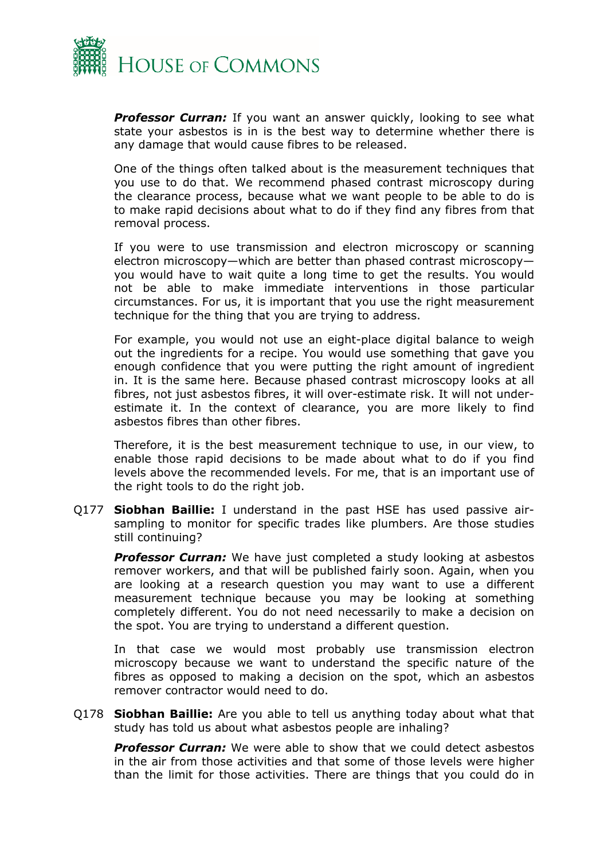

**Professor Curran:** If you want an answer quickly, looking to see what state your asbestos is in is the best way to determine whether there is any damage that would cause fibres to be released.

One of the things often talked about is the measurement techniques that you use to do that. We recommend phased contrast microscopy during the clearance process, because what we want people to be able to do is to make rapid decisions about what to do if they find any fibres from that removal process.

If you were to use transmission and electron microscopy or scanning electron microscopy—which are better than phased contrast microscopy you would have to wait quite a long time to get the results. You would not be able to make immediate interventions in those particular circumstances. For us, it is important that you use the right measurement technique for the thing that you are trying to address.

For example, you would not use an eight-place digital balance to weigh out the ingredients for a recipe. You would use something that gave you enough confidence that you were putting the right amount of ingredient in. It is the same here. Because phased contrast microscopy looks at all fibres, not just asbestos fibres, it will over-estimate risk. It will not underestimate it. In the context of clearance, you are more likely to find asbestos fibres than other fibres.

Therefore, it is the best measurement technique to use, in our view, to enable those rapid decisions to be made about what to do if you find levels above the recommended levels. For me, that is an important use of the right tools to do the right job.

Q177 **Siobhan Baillie:** I understand in the past HSE has used passive airsampling to monitor for specific trades like plumbers. Are those studies still continuing?

**Professor Curran:** We have just completed a study looking at asbestos remover workers, and that will be published fairly soon. Again, when you are looking at a research question you may want to use a different measurement technique because you may be looking at something completely different. You do not need necessarily to make a decision on the spot. You are trying to understand a different question.

In that case we would most probably use transmission electron microscopy because we want to understand the specific nature of the fibres as opposed to making a decision on the spot, which an asbestos remover contractor would need to do.

Q178 **Siobhan Baillie:** Are you able to tell us anything today about what that study has told us about what asbestos people are inhaling?

*Professor Curran:* We were able to show that we could detect asbestos in the air from those activities and that some of those levels were higher than the limit for those activities. There are things that you could do in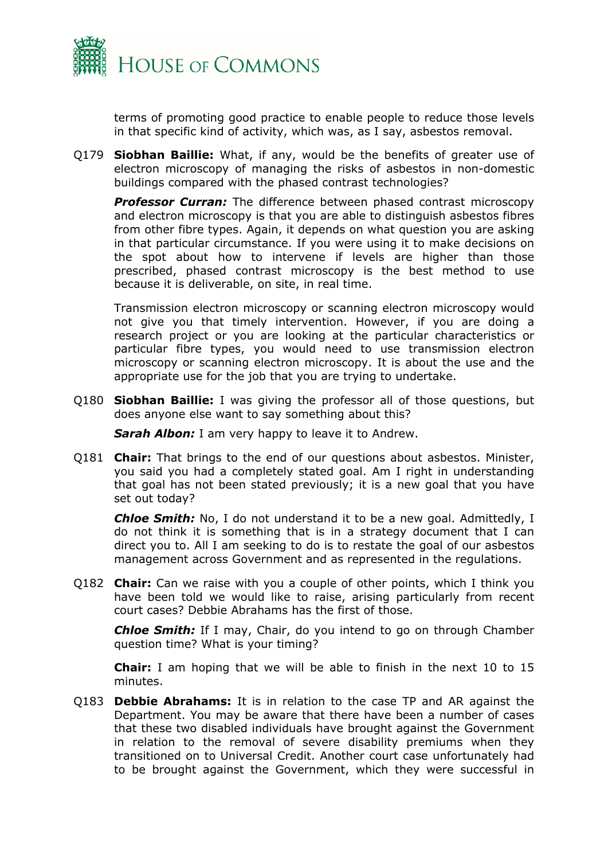

terms of promoting good practice to enable people to reduce those levels in that specific kind of activity, which was, as I say, asbestos removal.

Q179 **Siobhan Baillie:** What, if any, would be the benefits of greater use of electron microscopy of managing the risks of asbestos in non-domestic buildings compared with the phased contrast technologies?

**Professor Curran:** The difference between phased contrast microscopy and electron microscopy is that you are able to distinguish asbestos fibres from other fibre types. Again, it depends on what question you are asking in that particular circumstance. If you were using it to make decisions on the spot about how to intervene if levels are higher than those prescribed, phased contrast microscopy is the best method to use because it is deliverable, on site, in real time.

Transmission electron microscopy or scanning electron microscopy would not give you that timely intervention. However, if you are doing a research project or you are looking at the particular characteristics or particular fibre types, you would need to use transmission electron microscopy or scanning electron microscopy. It is about the use and the appropriate use for the job that you are trying to undertake.

Q180 **Siobhan Baillie:** I was giving the professor all of those questions, but does anyone else want to say something about this?

*Sarah Albon:* I am very happy to leave it to Andrew.

Q181 **Chair:** That brings to the end of our questions about asbestos. Minister, you said you had a completely stated goal. Am I right in understanding that goal has not been stated previously; it is a new goal that you have set out today?

*Chloe Smith:* No, I do not understand it to be a new goal. Admittedly, I do not think it is something that is in a strategy document that I can direct you to. All I am seeking to do is to restate the goal of our asbestos management across Government and as represented in the regulations.

Q182 **Chair:** Can we raise with you a couple of other points, which I think you have been told we would like to raise, arising particularly from recent court cases? Debbie Abrahams has the first of those.

*Chloe Smith:* If I may, Chair, do you intend to go on through Chamber question time? What is your timing?

**Chair:** I am hoping that we will be able to finish in the next 10 to 15 minutes.

Q183 **Debbie Abrahams:** It is in relation to the case TP and AR against the Department. You may be aware that there have been a number of cases that these two disabled individuals have brought against the Government in relation to the removal of severe disability premiums when they transitioned on to Universal Credit. Another court case unfortunately had to be brought against the Government, which they were successful in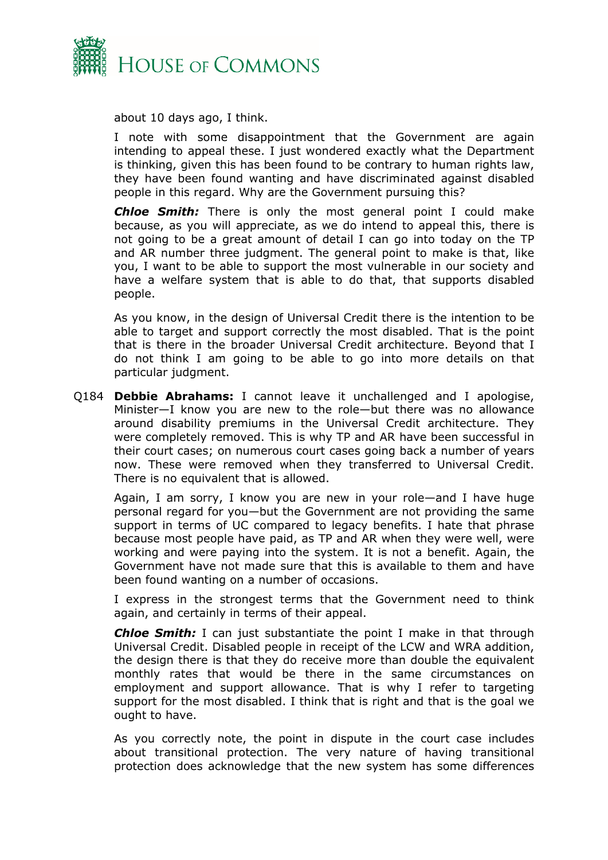

about 10 days ago, I think.

I note with some disappointment that the Government are again intending to appeal these. I just wondered exactly what the Department is thinking, given this has been found to be contrary to human rights law, they have been found wanting and have discriminated against disabled people in this regard. Why are the Government pursuing this?

*Chloe Smith:* There is only the most general point I could make because, as you will appreciate, as we do intend to appeal this, there is not going to be a great amount of detail I can go into today on the TP and AR number three judgment. The general point to make is that, like you, I want to be able to support the most vulnerable in our society and have a welfare system that is able to do that, that supports disabled people.

As you know, in the design of Universal Credit there is the intention to be able to target and support correctly the most disabled. That is the point that is there in the broader Universal Credit architecture. Beyond that I do not think I am going to be able to go into more details on that particular judgment.

Q184 **Debbie Abrahams:** I cannot leave it unchallenged and I apologise, Minister—I know you are new to the role—but there was no allowance around disability premiums in the Universal Credit architecture. They were completely removed. This is why TP and AR have been successful in their court cases; on numerous court cases going back a number of years now. These were removed when they transferred to Universal Credit. There is no equivalent that is allowed.

Again, I am sorry, I know you are new in your role—and I have huge personal regard for you—but the Government are not providing the same support in terms of UC compared to legacy benefits. I hate that phrase because most people have paid, as TP and AR when they were well, were working and were paying into the system. It is not a benefit. Again, the Government have not made sure that this is available to them and have been found wanting on a number of occasions.

I express in the strongest terms that the Government need to think again, and certainly in terms of their appeal.

*Chloe Smith:* I can just substantiate the point I make in that through Universal Credit. Disabled people in receipt of the LCW and WRA addition, the design there is that they do receive more than double the equivalent monthly rates that would be there in the same circumstances on employment and support allowance. That is why I refer to targeting support for the most disabled. I think that is right and that is the goal we ought to have.

As you correctly note, the point in dispute in the court case includes about transitional protection. The very nature of having transitional protection does acknowledge that the new system has some differences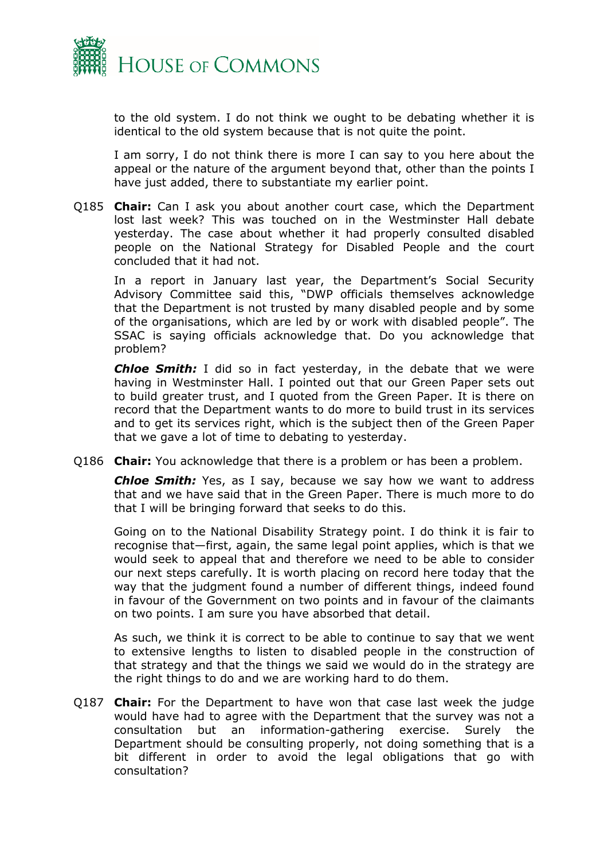

to the old system. I do not think we ought to be debating whether it is identical to the old system because that is not quite the point.

I am sorry, I do not think there is more I can say to you here about the appeal or the nature of the argument beyond that, other than the points I have just added, there to substantiate my earlier point.

Q185 **Chair:** Can I ask you about another court case, which the Department lost last week? This was touched on in the Westminster Hall debate yesterday. The case about whether it had properly consulted disabled people on the National Strategy for Disabled People and the court concluded that it had not.

In a report in January last year, the Department's Social Security Advisory Committee said this, "DWP officials themselves acknowledge that the Department is not trusted by many disabled people and by some of the organisations, which are led by or work with disabled people". The SSAC is saying officials acknowledge that. Do you acknowledge that problem?

*Chloe Smith:* I did so in fact yesterday, in the debate that we were having in Westminster Hall. I pointed out that our Green Paper sets out to build greater trust, and I quoted from the Green Paper. It is there on record that the Department wants to do more to build trust in its services and to get its services right, which is the subject then of the Green Paper that we gave a lot of time to debating to yesterday.

Q186 **Chair:** You acknowledge that there is a problem or has been a problem.

*Chloe Smith:* Yes, as I say, because we say how we want to address that and we have said that in the Green Paper. There is much more to do that I will be bringing forward that seeks to do this.

Going on to the National Disability Strategy point. I do think it is fair to recognise that—first, again, the same legal point applies, which is that we would seek to appeal that and therefore we need to be able to consider our next steps carefully. It is worth placing on record here today that the way that the judgment found a number of different things, indeed found in favour of the Government on two points and in favour of the claimants on two points. I am sure you have absorbed that detail.

As such, we think it is correct to be able to continue to say that we went to extensive lengths to listen to disabled people in the construction of that strategy and that the things we said we would do in the strategy are the right things to do and we are working hard to do them.

Q187 **Chair:** For the Department to have won that case last week the judge would have had to agree with the Department that the survey was not a consultation but an information-gathering exercise. Surely the Department should be consulting properly, not doing something that is a bit different in order to avoid the legal obligations that go with consultation?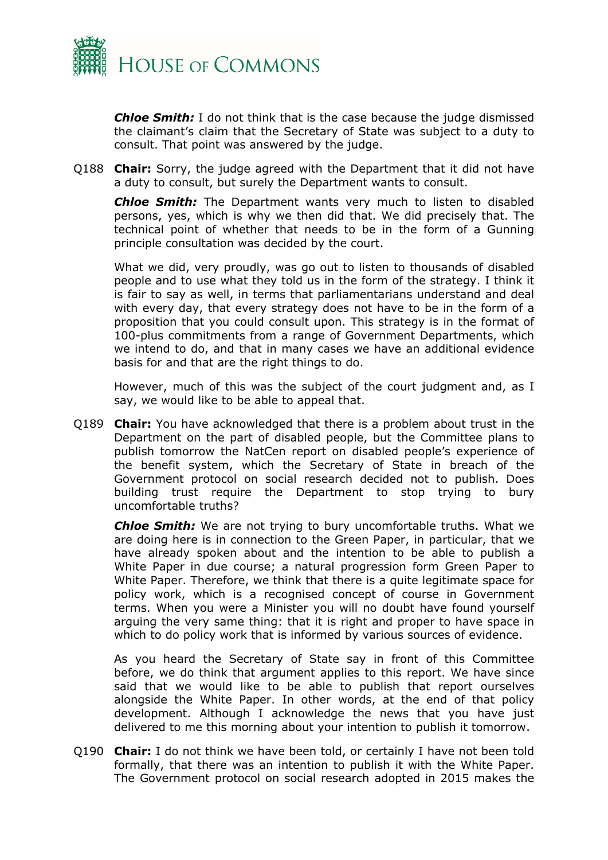

*Chloe Smith:* I do not think that is the case because the judge dismissed the claimant's claim that the Secretary of State was subject to a duty to consult. That point was answered by the judge.

Q188 **Chair:** Sorry, the judge agreed with the Department that it did not have a duty to consult, but surely the Department wants to consult.

*Chloe Smith:* The Department wants very much to listen to disabled persons, yes, which is why we then did that. We did precisely that. The technical point of whether that needs to be in the form of a Gunning principle consultation was decided by the court.

What we did, very proudly, was go out to listen to thousands of disabled people and to use what they told us in the form of the strategy. I think it is fair to say as well, in terms that parliamentarians understand and deal with every day, that every strategy does not have to be in the form of a proposition that you could consult upon. This strategy is in the format of 100-plus commitments from a range of Government Departments, which we intend to do, and that in many cases we have an additional evidence basis for and that are the right things to do.

However, much of this was the subject of the court judgment and, as I say, we would like to be able to appeal that.

Q189 **Chair:** You have acknowledged that there is a problem about trust in the Department on the part of disabled people, but the Committee plans to publish tomorrow the NatCen report on disabled people's experience of the benefit system, which the Secretary of State in breach of the Government protocol on social research decided not to publish. Does building trust require the Department to stop trying to bury uncomfortable truths?

*Chloe Smith:* We are not trying to bury uncomfortable truths. What we are doing here is in connection to the Green Paper, in particular, that we have already spoken about and the intention to be able to publish a White Paper in due course; a natural progression form Green Paper to White Paper. Therefore, we think that there is a quite legitimate space for policy work, which is a recognised concept of course in Government terms. When you were a Minister you will no doubt have found yourself arguing the very same thing: that it is right and proper to have space in which to do policy work that is informed by various sources of evidence.

As you heard the Secretary of State say in front of this Committee before, we do think that argument applies to this report. We have since said that we would like to be able to publish that report ourselves alongside the White Paper. In other words, at the end of that policy development. Although I acknowledge the news that you have just delivered to me this morning about your intention to publish it tomorrow.

Q190 **Chair:** I do not think we have been told, or certainly I have not been told formally, that there was an intention to publish it with the White Paper. The Government protocol on social research adopted in 2015 makes the